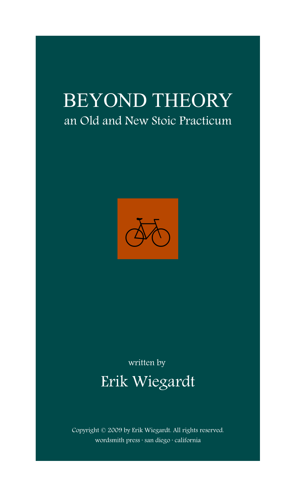# BEYOND THEORY an Old and New Stoic Practicum



# written by Erik Wiegardt

Copyright © 2009 by Erik Wiegardt. All rights reserved. wordsmith press · san diego · california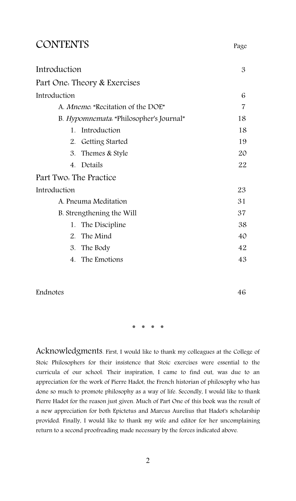## CONTENTS Page

| 3              |
|----------------|
|                |
| 6              |
| $\overline{7}$ |
| 18             |
| 18             |
| 19             |
| 20             |
| 22             |
|                |
| 23             |
| 31             |
| 37             |
| 38             |
| 40             |
| 42             |
| 43             |
|                |

Endnotes 46

\* \* \* \*

Acknowledgments. First, I would like to thank my colleagues at the College of Stoic Philosophers for their insistence that Stoic exercises were essential to the curricula of our school. Their inspiration, I came to find out, was due to an appreciation for the work of Pierre Hadot, the French historian of philosophy who has done so much to promote philosophy as a way of life. Secondly, I would like to thank Pierre Hadot for the reason just given. Much of Part One of this book was the result of a new appreciation for both Epictetus and Marcus Aurelius that Hadot's scholarship provided. Finally, I would like to thank my wife and editor for her uncomplaining return to a second proofreading made necessary by the forces indicated above.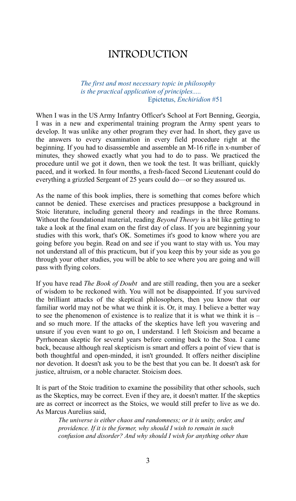## INTRODUCTION

*The first and most necessary topic in philosophy is the practical application of principles.....* Epictetus, *Enchiridion* #51

When I was in the US Army Infantry Officer's School at Fort Benning, Georgia, I was in a new and experimental training program the Army spent years to develop. It was unlike any other program they ever had. In short, they gave us the answers to every examination in every field procedure right at the beginning. If you had to disassemble and assemble an M-16 rifle in x-number of minutes, they showed exactly what you had to do to pass. We practiced the procedure until we got it down, then we took the test. It was brilliant, quickly paced, and it worked. In four months, a fresh-faced Second Lieutenant could do everything a grizzled Sergeant of 25 years could do—or so they assured us.

As the name of this book implies, there is something that comes before which cannot be denied. These exercises and practices presuppose a background in Stoic literature, including general theory and readings in the three Romans. Without the foundational material, reading *Beyond Theory* is a bit like getting to take a look at the final exam on the first day of class. If you are beginning your studies with this work, that's OK. Sometimes it's good to know where you are going before you begin. Read on and see if you want to stay with us. You may not understand all of this practicum, but if you keep this by your side as you go through your other studies, you will be able to see where you are going and will pass with flying colors.

If you have read *The Book of Doubt* and are still reading, then you are a seeker of wisdom to be reckoned with. You will not be disappointed. If you survived the brilliant attacks of the skeptical philosophers, then you know that our familiar world may not be what we think it is. Or, it may. I believe a better way to see the phenomenon of existence is to realize that it is what we think it is  $$ and so much more. If the attacks of the skeptics have left you wavering and unsure if you even want to go on, I understand. I left Stoicism and became a Pyrrhonean skeptic for several years before coming back to the Stoa. I came back, because although real skepticism is smart and offers a point of view that is both thoughtful and open-minded, it isn't grounded. It offers neither discipline nor devotion. It doesn't ask you to be the best that you can be. It doesn't ask for justice, altruism, or a noble character. Stoicism does.

It is part of the Stoic tradition to examine the possibility that other schools, such as the Skeptics, may be correct. Even if they are, it doesn't matter. If the skeptics are as correct or incorrect as the Stoics, we would still prefer to live as we do. As Marcus Aurelius said,

*The universe is either chaos and randomness; or it is unity, order, and providence. If it is the former, why should I wish to remain in such confusion and disorder? And why should I wish for anything other than*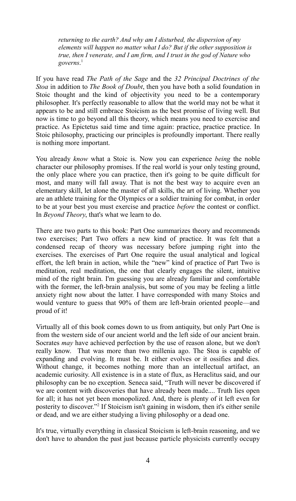*returning to the earth? And why am I disturbed, the dispersion of my elements will happen no matter what I do? But if the other supposition is true, then I venerate, and I am firm, and I trust in the god of Nature who governs*. [1](#page-45-0)

If you have read *The Path of the Sage* and the *32 Principal Doctrines of the Stoa* in addition to *The Book of Doubt*, then you have both a solid foundation in Stoic thought and the kind of objectivity you need to be a contemporary philosopher. It's perfectly reasonable to allow that the world may not be what it appears to be and still embrace Stoicism as the best promise of living well. But now is time to go beyond all this theory, which means you need to exercise and practice. As Epictetus said time and time again: practice, practice practice. In Stoic philosophy, practicing our principles is profoundly important. There really is nothing more important.

You already *know* what a Stoic is. Now you can experience *being* the noble character our philosophy promises. If the real world is your only testing ground, the only place where you can practice, then it's going to be quite difficult for most, and many will fall away. That is not the best way to acquire even an elementary skill, let alone the master of all skills, the art of living. Whether you are an athlete training for the Olympics or a soldier training for combat, in order to be at your best you must exercise and practice *before* the contest or conflict. In *Beyond Theory*, that's what we learn to do.

There are two parts to this book: Part One summarizes theory and recommends two exercises; Part Two offers a new kind of practice. It was felt that a condensed recap of theory was necessary before jumping right into the exercises. The exercises of Part One require the usual analytical and logical effort, the left brain in action, while the "new" kind of practice of Part Two is meditation, real meditation, the one that clearly engages the silent, intuitive mind of the right brain. I'm guessing you are already familiar and comfortable with the former, the left-brain analysis, but some of you may be feeling a little anxiety right now about the latter. I have corresponded with many Stoics and would venture to guess that 90% of them are left-brain oriented people—and proud of it!

Virtually all of this book comes down to us from antiquity, but only Part One is from the western side of our ancient world and the left side of our ancient brain. Socrates *may* have achieved perfection by the use of reason alone, but we don't really know. That was more than two millenia ago. The Stoa is capable of expanding and evolving. It must be. It either evolves or it ossifies and dies. Without change, it becomes nothing more than an intellectual artifact, an academic curiosity. All existence is in a state of flux, as Heraclitus said, and our philosophy can be no exception. Seneca said, "Truth will never be discovered if we are content with discoveries that have already been made.... Truth lies open for all; it has not yet been monopolized. And, there is plenty of it left even for posterity to discover."<sup>[2](#page-45-1)</sup> If Stoicism isn't gaining in wisdom, then it's either senile or dead, and we are either studying a living philosophy or a dead one.

It's true, virtually everything in classical Stoicism is left-brain reasoning, and we don't have to abandon the past just because particle physicists currently occupy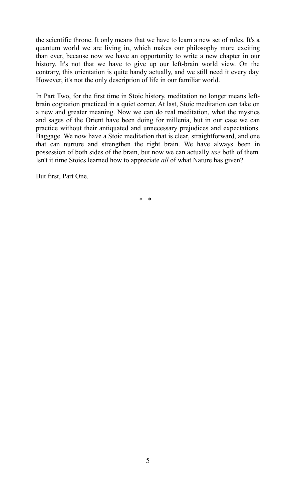the scientific throne. It only means that we have to learn a new set of rules. It's a quantum world we are living in, which makes our philosophy more exciting than ever, because now we have an opportunity to write a new chapter in our history. It's not that we have to give up our left-brain world view. On the contrary, this orientation is quite handy actually, and we still need it every day. However, it's not the only description of life in our familiar world.

In Part Two, for the first time in Stoic history, meditation no longer means leftbrain cogitation practiced in a quiet corner. At last, Stoic meditation can take on a new and greater meaning. Now we can do real meditation, what the mystics and sages of the Orient have been doing for millenia, but in our case we can practice without their antiquated and unnecessary prejudices and expectations. Baggage. We now have a Stoic meditation that is clear, straightforward, and one that can nurture and strengthen the right brain. We have always been in possession of both sides of the brain, but now we can actually *use* both of them. Isn't it time Stoics learned how to appreciate *all* of what Nature has given?

But first, Part One.

\* \*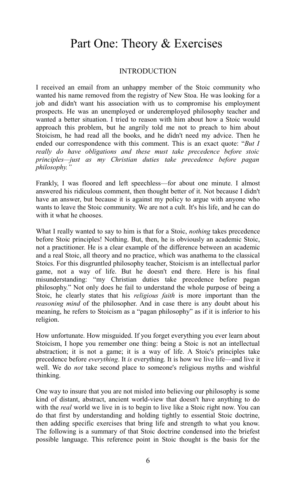## Part One: Theory & Exercises

### **INTRODUCTION**

I received an email from an unhappy member of the Stoic community who wanted his name removed from the registry of New Stoa. He was looking for a job and didn't want his association with us to compromise his employment prospects. He was an unemployed or underemployed philosophy teacher and wanted a better situation. I tried to reason with him about how a Stoic would approach this problem, but he angrily told me not to preach to him about Stoicism, he had read all the books, and he didn't need my advice. Then he ended our correspondence with this comment. This is an exact quote: "*But I really do have obligations and these must take precedence before stoic principles—just as my Christian duties take precedence before pagan philosophy."*

Frankly, I was floored and left speechless—for about one minute. I almost answered his ridiculous comment, then thought better of it. Not because I didn't have an answer, but because it is against my policy to argue with anyone who wants to leave the Stoic community. We are not a cult. It's his life, and he can do with it what he chooses.

What I really wanted to say to him is that for a Stoic, *nothing* takes precedence before Stoic principles! Nothing. But, then, he is obviously an academic Stoic, not a practitioner. He is a clear example of the difference between an academic and a real Stoic, all theory and no practice, which was anathema to the classical Stoics. For this disgruntled philosophy teacher, Stoicism is an intellectual parlor game, not a way of life. But he doesn't end there. Here is his final misunderstanding: "my Christian duties take precedence before pagan philosophy." Not only does he fail to understand the whole purpose of being a Stoic, he clearly states that his *religious faith* is more important than the *reasoning mind* of the philosopher. And in case there is any doubt about his meaning, he refers to Stoicism as a "pagan philosophy" as if it is inferior to his religion.

How unfortunate. How misguided. If you forget everything you ever learn about Stoicism, I hope you remember one thing: being a Stoic is not an intellectual abstraction; it is not a game; it is a way of life. A Stoic's principles take precedence before *everything*. It *is* everything. It is how we live life—and live it well. We do *not* take second place to someone's religious myths and wishful thinking.

One way to insure that you are not misled into believing our philosophy is some kind of distant, abstract, ancient world-view that doesn't have anything to do with the *real* world we live in is to begin to live like a Stoic right now. You can do that first by understanding and holding tightly to essential Stoic doctrine, then adding specific exercises that bring life and strength to what you know. The following is a summary of that Stoic doctrine condensed into the briefest possible language. This reference point in Stoic thought is the basis for the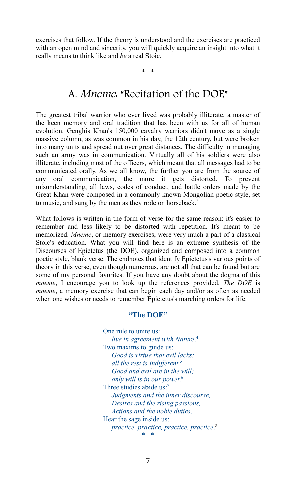exercises that follow. If the theory is understood and the exercises are practiced with an open mind and sincerity, you will quickly acquire an insight into what it really means to think like and *be* a real Stoic.

\* \*

## A. Mneme: "Recitation of the DOE"

The greatest tribal warrior who ever lived was probably illiterate, a master of the keen memory and oral tradition that has been with us for all of human evolution. Genghis Khan's 150,000 cavalry warriors didn't move as a single massive column, as was common in his day, the 12th century, but were broken into many units and spread out over great distances. The difficulty in managing such an army was in communication. Virtually all of his soldiers were also illiterate, including most of the officers, which meant that all messages had to be communicated orally. As we all know, the further you are from the source of any oral communication, the more it gets distorted. To prevent misunderstanding, all laws, codes of conduct, and battle orders made by the Great Khan were composed in a commonly known Mongolian poetic style, set to music, and sung by the men as they rode on horseback.<sup>[3](#page-45-2)</sup>

What follows is written in the form of verse for the same reason: it's easier to remember and less likely to be distorted with repetition. It's meant to be memorized. *Mneme*, or memory exercises, were very much a part of a classical Stoic's education. What you will find here is an extreme synthesis of the Discourses of Epictetus (the DOE), organized and composed into a common poetic style, blank verse. The endnotes that identify Epictetus's various points of theory in this verse, even though numerous, are not all that can be found but are some of my personal favorites. If you have any doubt about the dogma of this *mneme*, I encourage you to look up the references provided. *The DOE* is *mneme*, a memory exercise that can begin each day and/or as often as needed when one wishes or needs to remember Epictetus's marching orders for life.

#### **"The DOE"**

One rule to unite us: *live in agreement with Nature*. [4](#page-45-3) Two maxims to guide us: *Good is virtue that evil lacks; all the rest is indifferent.[5](#page-45-4) Good and evil are in the will; only will is in our power*. [6](#page-45-5) Three studies abide us:<sup>[7](#page-45-6)</sup> *Judgments and the inner discourse, Desires and the rising passions, Actions and the noble duties*. Hear the sage inside us: *practice, practice, practice, practice*. [8](#page-45-7) \* \*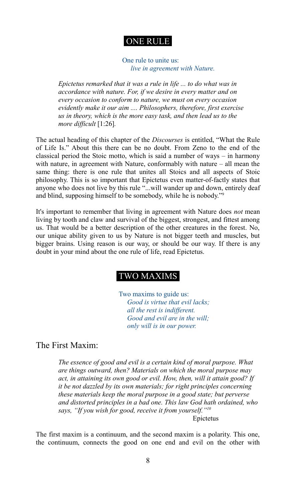## ONE RULE

One rule to unite us:  *live in agreement with Nature.*

*Epictetus remarked that it was a rule in life ... to do what was in accordance with nature. For, if we desire in every matter and on every occasion to conform to nature, we must on every occasion evidently make it our aim .... Philosophers, therefore, first exercise us in theory, which is the more easy task, and then lead us to the more difficult* [1:26]*.*

The actual heading of this chapter of the *Discourses* is entitled, "What the Rule of Life Is." About this there can be no doubt. From Zeno to the end of the classical period the Stoic motto, which is said a number of ways – in harmony with nature, in agreement with Nature, conformably with nature – all mean the same thing: there is one rule that unites all Stoics and all aspects of Stoic philosophy. This is so important that Epictetus even matter-of-factly states that anyone who does not live by this rule "...will wander up and down, entirely deaf and blind, supposing himself to be somebody, while he is nobody."[9](#page-45-8)

It's important to remember that living in agreement with Nature does *not* mean living by tooth and claw and survival of the biggest, strongest, and fittest among us. That would be a better description of the other creatures in the forest. No, our unique ability given to us by Nature is not bigger teeth and muscles, but bigger brains. Using reason is our way, or should be our way. If there is any doubt in your mind about the one rule of life, read Epictetus.

## TWO MAXIMS

Two maxims to guide us:  *Good is virtue that evil lacks; all the rest is indifferent. Good and evil are in the will; only will is in our power.*

The First Maxim:

*The essence of good and evil is a certain kind of moral purpose. What are things outward, then? Materials on which the moral purpose may act, in attaining its own good or evil. How, then, will it attain good? If it be not dazzled by its own materials; for right principles concerning these materials keep the moral purpose in a good state; but perverse and distorted principles in a bad one. This law God hath ordained, who says, "If you wish for good, receive it from yourself."[10](#page-45-9)*

Epictetus

The first maxim is a continuum, and the second maxim is a polarity. This one, the continuum, connects the good on one end and evil on the other with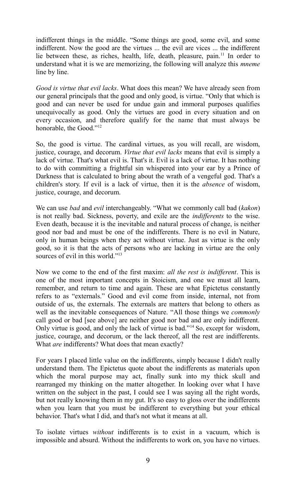indifferent things in the middle. "Some things are good, some evil, and some indifferent. Now the good are the virtues ... the evil are vices ... the indifferent lie between these, as riches, health, life, death, pleasure, pain.[11](#page-45-10) In order to understand what it is we are memorizing, the following will analyze this *mneme* line by line.

*Good is virtue that evil lacks*. What does this mean? We have already seen from our general principals that the good and only good, is virtue. "Only that which is good and can never be used for undue gain and immoral purposes qualifies unequivocally as good. Only the virtues are good in every situation and on every occasion, and therefore qualify for the name that must always be honorable, the Good."<sup>[12](#page-45-11)</sup>

So, the good is virtue. The cardinal virtues, as you will recall, are wisdom, justice, courage, and decorum. *Virtue that evil lacks* means that evil is simply a lack of virtue. That's what evil is. That's it. Evil is a lack of virtue. It has nothing to do with committing a frightful sin whispered into your ear by a Prince of Darkness that is calculated to bring about the wrath of a vengeful god. That's a children's story. If evil is a lack of virtue, then it is the *absence* of wisdom, justice, courage, and decorum.

We can use *bad* and *evil* interchangeably. "What we commonly call bad (*kakon*) is not really bad. Sickness, poverty, and exile are the *indifferents* to the wise. Even death, because it is the inevitable and natural process of change, is neither good nor bad and must be one of the indifferents. There is no evil in Nature, only in human beings when they act without virtue. Just as virtue is the only good, so it is that the acts of persons who are lacking in virtue are the only sources of evil in this world."<sup>[13](#page-45-12)</sup>

Now we come to the end of the first maxim: *all the rest is indifferent*. This is one of the most important concepts in Stoicism, and one we must all learn, remember, and return to time and again. These are what Epictetus constantly refers to as "externals." Good and evil come from inside, internal, not from outside of us, the externals. The externals are matters that belong to others as well as the inevitable consequences of Nature. "All those things we *commonly* call good or bad [see above] are neither good nor bad and are only indifferent. Only virtue is good, and only the lack of virtue is bad."[14](#page-45-13) So, except for wisdom, justice, courage, and decorum, or the lack thereof, all the rest are indifferents. What *are* indifferents? What does that mean exactly?

For years I placed little value on the indifferents, simply because I didn't really understand them. The Epictetus quote about the indifferents as materials upon which the moral purpose may act, finally sunk into my thick skull and rearranged my thinking on the matter altogether. In looking over what I have written on the subject in the past, I could see I was saying all the right words, but not really knowing them in my gut. It's so easy to gloss over the indifferents when you learn that you must be indifferent to everything but your ethical behavior. That's what I did, and that's not what it means at all.

To isolate virtues *without* indifferents is to exist in a vacuum, which is impossible and absurd. Without the indifferents to work on, you have no virtues.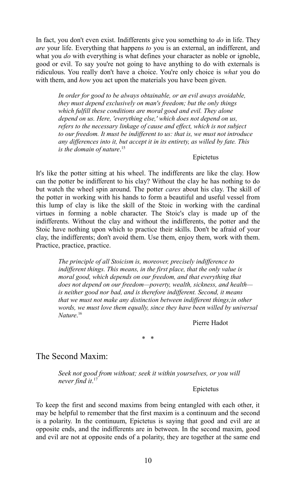In fact, you don't even exist. Indifferents give you something to *do* in life. They *are* your life. Everything that happens *to* you is an external, an indifferent, and what you *do* with everything is what defines your character as noble or ignoble, good or evil. To say you're not going to have anything to do with externals is ridiculous. You really don't have a choice. You're only choice is *what* you do with them, and *how* you act upon the materials you have been given.

*In order for good to be always obtainable, or an evil aways avoidable, they must depend exclusively on man's freedom; but the only things which fulfill these conditions are moral good and evil. They alone depend on us. Here, 'everything else,' which does not depend on us, refers to the necessary linkage of cause and effect, which is not subject to our freedom. It must be indifferent to us: that is, we must not introduce any differences into it, but accept it in its entirety, as willed by fate. This is the domain of nature*. [15](#page-45-14)

#### Epictetus

It's like the potter sitting at his wheel. The indifferents are like the clay. How can the potter be indifferent to his clay? Without the clay he has nothing to do but watch the wheel spin around. The potter *cares* about his clay. The skill of the potter in working with his hands to form a beautiful and useful vessel from this lump of clay is like the skill of the Stoic in working with the cardinal virtues in forming a noble character. The Stoic's clay is made up of the indifferents. Without the clay and without the indifferents, the potter and the Stoic have nothing upon which to practice their skills. Don't be afraid of your clay, the indifferents; don't avoid them. Use them, enjoy them, work with them. Practice, practice, practice.

> *The principle of all Stoicism is, moreover, precisely indifference to indifferent things. This means, in the first place, that the only value is moral good, which depends on our freedom, and that everything that does not depend on our freedom—poverty, wealth, sickness, and health is neither good nor bad, and is therefore indifferent. Second, it means that we must not make any distinction between indifferent things;in other words, we must love them equally, since they have been willed by universal Nature*. [16](#page-45-15)

> > Pierre Hadot

\* \*

### The Second Maxim:

*Seek not good from without; seek it within yourselves, or you will never find it*. [17](#page-45-16)

#### Epictetus

To keep the first and second maxims from being entangled with each other, it may be helpful to remember that the first maxim is a continuum and the second is a polarity. In the continuum, Epictetus is saying that good and evil are at opposite ends, and the indifferents are in between. In the second maxim, good and evil are not at opposite ends of a polarity, they are together at the same end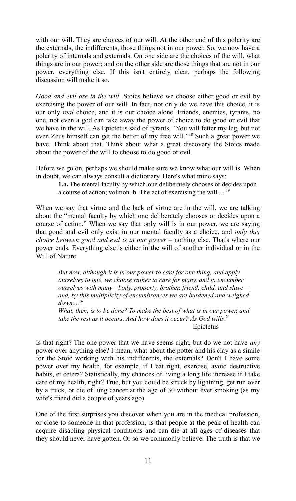with our will. They are choices of our will. At the other end of this polarity are the externals, the indifferents, those things not in our power. So, we now have a polarity of internals and externals. On one side are the choices of the will, what things are in our power; and on the other side are those things that are not in our power, everything else. If this isn't entirely clear, perhaps the following discussion will make it so.

*Good and evil are in the will*. Stoics believe we choose either good or evil by exercising the power of our will. In fact, not only do we have this choice, it is our only *real* choice, and it is our choice alone. Friends, enemies, tyrants, no one, not even a god can take away the power of choice to do good or evil that we have in the will. As Epictetus said of tyrants, "You will fetter my leg, but not even Zeus himself can get the better of my free will."[18](#page-45-17) Such a great power we have. Think about that. Think about what a great discovery the Stoics made about the power of the will to choose to do good or evil.

Before we go on, perhaps we should make sure we know what our will is. When in doubt, we can always consult a dictionary. Here's what mine says:

**1.a.** The mental faculty by which one deliberately chooses or decides upon a course of action; volition. **b**. The act of exercising the will.... [19](#page-45-18)

When we say that virtue and the lack of virtue are in the will, we are talking about the "mental faculty by which one deliberately chooses or decides upon a course of action." When we say that only will is in our power, we are saying that good and evil only exist in our mental faculty as a choice, and *only this choice between good and evil is in our power* – nothing else. That's where our power ends. Everything else is either in the will of another individual or in the Will of Nature.

*But now, although it is in our power to care for one thing, and apply ourselves to one, we choose rather to care for many, and to encumber ourselves with many—body, property, brother, friend, child, and slave and, by this multiplicity of encumbrances we are burdened and weighed down....[20](#page-45-19)*

*What, then, is to be done? To make the best of what is in our power, and*  take the rest as it occurs. And how does it occur? As God wills.<sup>[21](#page-45-20)</sup> Epictetus

Is that right? The one power that we have seems right, but do we not have *any* power over anything else? I mean, what about the potter and his clay as a simile for the Stoic working with his indifferents, the externals? Don't I have some power over my health, for example, if I eat right, exercise, avoid destructive habits, et cetera? Statistically, my chances of living a long life increase if I take care of my health, right? True, but you could be struck by lightning, get run over by a truck, or die of lung cancer at the age of 30 without ever smoking (as my wife's friend did a couple of years ago).

One of the first surprises you discover when you are in the medical profession, or close to someone in that profession, is that people at the peak of health can acquire disabling physical conditions and can die at all ages of diseases that they should never have gotten. Or so we commonly believe. The truth is that we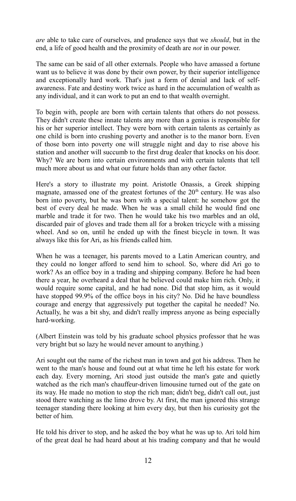*are* able to take care of ourselves, and prudence says that we *should*, but in the end, a life of good health and the proximity of death are *not* in our power.

The same can be said of all other externals. People who have amassed a fortune want us to believe it was done by their own power, by their superior intelligence and exceptionally hard work. That's just a form of denial and lack of selfawareness. Fate and destiny work twice as hard in the accumulation of wealth as any individual, and it can work to put an end to that wealth overnight.

To begin with, people are born with certain talents that others do not possess. They didn't create these innate talents any more than a genius is responsible for his or her superior intellect. They were born with certain talents as certainly as one child is born into crushing poverty and another is to the manor born. Even of those born into poverty one will struggle night and day to rise above his station and another will succumb to the first drug dealer that knocks on his door. Why? We are born into certain environments and with certain talents that tell much more about us and what our future holds than any other factor.

Here's a story to illustrate my point. Aristotle Onassis, a Greek shipping magnate, amassed one of the greatest fortunes of the  $20<sup>th</sup>$  century. He was also born into poverty, but he was born with a special talent: he somehow got the best of every deal he made. When he was a small child he would find one marble and trade it for two. Then he would take his two marbles and an old, discarded pair of gloves and trade them all for a broken tricycle with a missing wheel. And so on, until he ended up with the finest bicycle in town. It was always like this for Ari, as his friends called him.

When he was a teenager, his parents moved to a Latin American country, and they could no longer afford to send him to school. So, where did Ari go to work? As an office boy in a trading and shipping company. Before he had been there a year, he overheard a deal that he believed could make him rich. Only, it would require some capital, and he had none. Did that stop him, as it would have stopped 99.9% of the office boys in his city? No. Did he have boundless courage and energy that aggressively put together the capital he needed? No. Actually, he was a bit shy, and didn't really impress anyone as being especially hard-working.

(Albert Einstein was told by his graduate school physics professor that he was very bright but so lazy he would never amount to anything.)

Ari sought out the name of the richest man in town and got his address. Then he went to the man's house and found out at what time he left his estate for work each day. Every morning, Ari stood just outside the man's gate and quietly watched as the rich man's chauffeur-driven limousine turned out of the gate on its way. He made no motion to stop the rich man; didn't beg, didn't call out, just stood there watching as the limo drove by. At first, the man ignored this strange teenager standing there looking at him every day, but then his curiosity got the better of him.

He told his driver to stop, and he asked the boy what he was up to. Ari told him of the great deal he had heard about at his trading company and that he would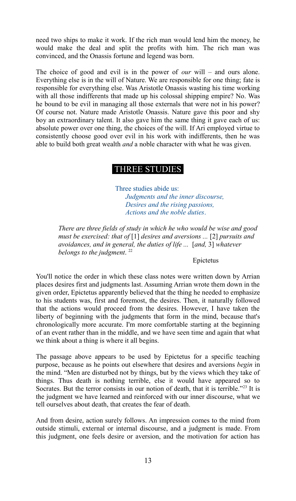need two ships to make it work. If the rich man would lend him the money, he would make the deal and split the profits with him. The rich man was convinced, and the Onassis fortune and legend was born.

The choice of good and evil is in the power of *our* will – and ours alone. Everything else is in the will of Nature. We are responsible for one thing; fate is responsible for everything else. Was Aristotle Onassis wasting his time working with all those indifferents that made up his colossal shipping empire? No. Was he bound to be evil in managing all those externals that were not in his power? Of course not. Nature made Aristotle Onassis. Nature gave this poor and shy boy an extraordinary talent. It also gave him the same thing it gave each of us: absolute power over one thing, the choices of the will. If Ari employed virtue to consistently choose good over evil in his work with indifferents, then he was able to build both great wealth *and* a noble character with what he was given.

## THREE STUDIES

 Three studies abide us: *Judgments and the inner discourse, Desires and the rising passions, Actions and the noble duties*.

*There are three fields of study in which he who would be wise and good must be exercised: that of* [1] *desires and aversions ...* [2] *pursuits and avoidances, and in general, the duties of life ...* [*and,* 3] *whatever belongs to the judgment*. [22](#page-45-21)

#### Epictetus

You'll notice the order in which these class notes were written down by Arrian places desires first and judgments last. Assuming Arrian wrote them down in the given order, Epictetus apparently believed that the thing he needed to emphasize to his students was, first and foremost, the desires. Then, it naturally followed that the actions would proceed from the desires. However, I have taken the liberty of beginning with the judgments that form in the mind, because that's chronologically more accurate. I'm more comfortable starting at the beginning of an event rather than in the middle, and we have seen time and again that what we think about a thing is where it all begins.

The passage above appears to be used by Epictetus for a specific teaching purpose, because as he points out elsewhere that desires and aversions *begin* in the mind. "Men are disturbed not by things, but by the views which they take of things. Thus death is nothing terrible, else it would have appeared so to Socrates. But the terror consists in our notion of death, that it is terrible.<sup>2[23](#page-45-22)</sup> It is the judgment we have learned and reinforced with our inner discourse, what we tell ourselves about death, that creates the fear of death.

And from desire, action surely follows. An impression comes to the mind from outside stimuli, external or internal discourse, and a judgment is made. From this judgment, one feels desire or aversion, and the motivation for action has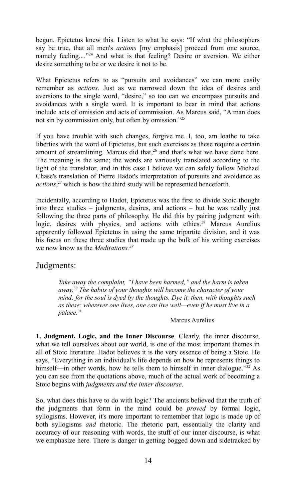begun. Epictetus knew this. Listen to what he says: "If what the philosophers say be true, that all men's *actions* [my emphasis] proceed from one source, namely feeling...."<sup>[24](#page-45-23)</sup> And what is that feeling? Desire or aversion. We either desire something to be or we desire it not to be.

What Epictetus refers to as "pursuits and avoidances" we can more easily remember as *actions*. Just as we narrowed down the idea of desires and aversions to the single word, "desire," so too can we encompass pursuits and avoidances with a single word. It is important to bear in mind that actions include acts of omission and acts of commission. As Marcus said, "A man does not sin by commission only, but often by omission."[25](#page-45-24)

If you have trouble with such changes, forgive me. I, too, am loathe to take liberties with the word of Epictetus, but such exercises as these require a certain amount of streamlining. Marcus did that, $26$  and that's what we have done here. The meaning is the same; the words are variously translated according to the light of the translator, and in this case I believe we can safely follow Michael Chase's translation of Pierre Hadot's interpretation of pursuits and avoidance as *actions*, [27](#page-45-26) which is how the third study will be represented henceforth.

Incidentally, according to Hadot, Epictetus was the first to divide Stoic thought into three studies – judgments, desires, and actions – but he was really just following the three parts of philosophy. He did this by pairing judgment with logic, desires with physics, and actions with ethics.<sup>[28](#page-45-27)</sup> Marcus Aurelius apparently followed Epictetus in using the same tripartite division, and it was his focus on these three studies that made up the bulk of his writing exercises we now know as the *Meditations.[29](#page-45-28)*

## Judgments:

*Take away the complaint, "I have been harmed," and the harm is taken away.[30](#page-45-29) The habits of your thoughts will become the character of your mind; for the soul is dyed by the thoughts. Dye it, then, with thoughts such as these: wherever one lives, one can live well—even if he must live in a palace.[31](#page-45-30)*

#### Marcus Aurelius

**1. Judgment, Logic, and the Inner Discourse**. Clearly, the inner discourse, what we tell ourselves about our world, is one of the most important themes in all of Stoic literature. Hadot believes it is the very essence of being a Stoic. He says, "Everything in an individual's life depends on how he represents things to himself—in other words, how he tells them to himself in inner dialogue."<sup>[32](#page-45-31)</sup> As you can see from the quotations above, much of the actual work of becoming a Stoic begins with *judgments and the inner discourse*.

So, what does this have to do with logic? The ancients believed that the truth of the judgments that form in the mind could be *proved* by formal logic, syllogisms. However, it's more important to remember that logic is made up of both syllogisms *and* rhetoric. The rhetoric part, essentially the clarity and accuracy of our reasoning with words, the stuff of our inner discourse, is what we emphasize here. There is danger in getting bogged down and sidetracked by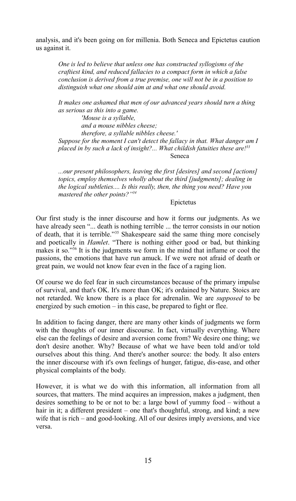analysis, and it's been going on for millenia. Both Seneca and Epictetus caution us against it.

> *One is led to believe that unless one has constructed syllogisms of the craftiest kind, and reduced fallacies to a compact form in which a false conclusion is derived from a true premise, one will not be in a position to distinguish what one should aim at and what one should avoid.*

*It makes one ashamed that men of our advanced years should turn a thing as serious as this into a game.*

*'Mouse is a syllable, and a mouse nibbles cheese; therefore, a syllable nibbles cheese.' Suppose for the moment I can't detect the fallacy in that. What danger am I placed in by such a lack of insight?... What childish fatuities these are![33](#page-45-32)* Seneca

*...our present philosophers, leaving the first [desires] and second [actions] topics, employ themselves wholly about the third [judgments]; dealing in the logical subtleties.... Is this really, then, the thing you need? Have you mastered the other points?"[34](#page-45-33)*

#### Epictetus

Our first study is the inner discourse and how it forms our judgments. As we have already seen "... death is nothing terrible ... the terror consists in our notion of death, that it is terrible."[35](#page-45-34) Shakespeare said the same thing more concisely and poetically in *Hamlet*. "There is nothing either good or bad, but thinking makes it so."[36](#page-45-35) It is the judgments we form in the mind that inflame or cool the passions, the emotions that have run amuck. If we were not afraid of death or great pain, we would not know fear even in the face of a raging lion.

Of course we do feel fear in such circumstances because of the primary impulse of survival, and that's OK. It's more than OK; it's ordained by Nature. Stoics are not retarded. We know there is a place for adrenalin. We are *supposed* to be energized by such emotion – in this case, be prepared to fight or flee.

In addition to facing danger, there are many other kinds of judgments we form with the thoughts of our inner discourse. In fact, virtually everything. Where else can the feelings of desire and aversion come from? We desire one thing; we don't desire another. Why? Because of what we have been told and/or told ourselves about this thing. And there's another source: the body. It also enters the inner discourse with it's own feelings of hunger, fatigue, dis-ease, and other physical complaints of the body.

However, it is what we do with this information, all information from all sources, that matters. The mind acquires an impression, makes a judgment, then desires something to be or not to be: a large bowl of yummy food – without a hair in it; a different president – one that's thoughtful, strong, and kind; a new wife that is rich – and good-looking. All of our desires imply aversions, and vice versa.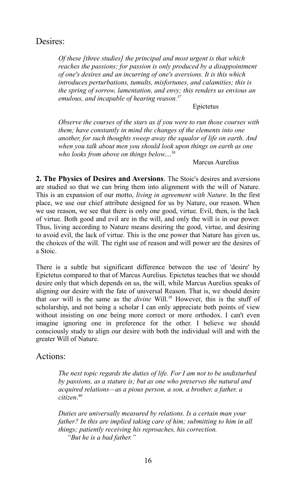## Desires:

*Of these [three studies] the principal and most urgent is that which reaches the passions; for passion is only produced by a disappointment of one's desires and an incurring of one's aversions. It is this which introduces perturbations, tumults, misfortunes, and calamities; this is the spring of sorrow, lamentation, and envy; this renders us envious an emulous, and incapable of hearing reason.[37](#page-45-36)*

#### Epictetus

*Observe the courses of the stars as if you were to run those courses with them; have constantly in mind the changes of the elements into one another, for such thoughts sweep away the squalor of life on earth. And when you talk about men you should look upon things on earth as one who looks from above on things below*.... [38](#page-45-37)

#### Marcus Aurelius

**2. The Physics of Desires and Aversions**. The Stoic's desires and aversions are studied so that we can bring them into alignment with the will of Nature. This is an expansion of our motto, *living in agreement with Nature*. In the first place, we use our chief attribute designed for us by Nature, our reason. When we use reason, we see that there is only one good, virtue. Evil, then, is the lack of virtue. Both good and evil are in the will, and only the will is in our power. Thus, living according to Nature means desiring the good, virtue, and desiring to avoid evil, the lack of virtue. This is the one power that Nature has given us, the choices of the will. The right use of reason and will power are the desires of a Stoic.

There is a subtle but significant difference between the use of 'desire' by Epictetus compared to that of Marcus Aurelius. Epictetus teaches that we should desire only that which depends on us, the will, while Marcus Aurelius speaks of aligning our desire with the fate of universal Reason. That is, we should desire that *our* will is the same as the *divine* Will.<sup>[39](#page-45-38)</sup> However, this is the stuff of scholarship, and not being a scholar I can only appreciate both points of view without insisting on one being more correct or more orthodox. I can't even imagine ignoring one in preference for the other. I believe we should consciously study to align our desire with both the individual will and with the greater Will of Nature.

## Actions:

*The next topic regards the duties of life. For I am not to be undisturbed by passions, as a stature is; but as one who preserves the natural and acquired relations—as a pious person, a son, a brother, a father, a citizen*. [40](#page-45-39)

*Duties are universally measured by relations. Is a certain man your father? In this are implied taking care of him; submitting to him in all things; patiently receiving his reproaches, his correction. "But he is a bad father."*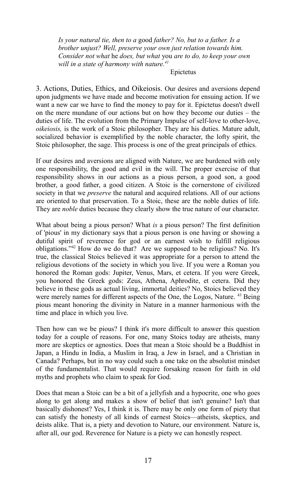*Is your natural tie, then to a* good *father? No, but to a father. Is a brother unjust? Well, preserve your own just relation towards him. Consider not what* he *does, but what* you *are to do, to keep your own will in a state of harmony with nature.[41](#page-45-40)*

#### Epictetus

3. Actions, Duties, Ethics, and Oikeiosis. Our desires and aversions depend upon judgments we have made and become motivation for ensuing action. If we want a new car we have to find the money to pay for it. Epictetus doesn't dwell on the mere mundane of our actions but on how they become our duties – the duties of life. The evolution from the Primary Impulse of self-love to other-love, *oikeiosis,* is the work of a Stoic philosopher. They are his duties. Mature adult, socialized behavior is exemplified by the noble character, the lofty spirit, the Stoic philosopher, the sage. This process is one of the great principals of ethics.

If our desires and aversions are aligned with Nature, we are burdened with only one responsibility, the good and evil in the will. The proper exercise of that responsibility shows in our actions as a pious person, a good son, a good brother, a good father, a good citizen. A Stoic is the cornerstone of civilized society in that we *preserve* the natural and acquired relations. All of our actions are oriented to that preservation. To a Stoic, these are the noble duties of life. They are *noble* duties because they clearly show the true nature of our character.

What about being a pious person? What *is* a pious person? The first definition of 'pious' in my dictionary says that a pious person is one having or showing a dutiful spirit of reverence for god or an earnest wish to fulfill religious obligations."[42](#page-45-41) How do we do that? Are we supposed to be religious? No. It's true, the classical Stoics believed it was appropriate for a person to attend the religious devotions of the society in which you live. If you were a Roman you honored the Roman gods: Jupiter, Venus, Mars, et cetera. If you were Greek, you honored the Greek gods: Zeus, Athena, Aphrodite, et cetera. Did they believe in these gods as actual living, immortal deities? No, Stoics believed they were merely names for different aspects of the One, the Logos, Nature. <sup>[43](#page-46-0)</sup> Being pious meant honoring the divinity in Nature in a manner harmonious with the time and place in which you live.

Then how can we be pious? I think it's more difficult to answer this question today for a couple of reasons. For one, many Stoics today are atheists, many more are skeptics or agnostics. Does that mean a Stoic should be a Buddhist in Japan, a Hindu in India, a Muslim in Iraq, a Jew in Israel, and a Christian in Canada? Perhaps, but in no way could such a one take on the absolutist mindset of the fundamentalist. That would require forsaking reason for faith in old myths and prophets who claim to speak for God.

Does that mean a Stoic can be a bit of a jellyfish and a hypocrite, one who goes along to get along and makes a show of belief that isn't genuine? Isn't that basically dishonest? Yes, I think it is. There may be only one form of piety that can satisfy the honesty of all kinds of earnest Stoics—atheists, skeptics, and deists alike. That is, a piety and devotion to Nature, our environment. Nature is, after all, our god. Reverence for Nature is a piety we can honestly respect.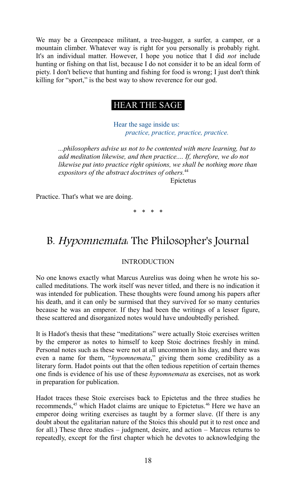We may be a Greenpeace militant, a tree-hugger, a surfer, a camper, or a mountain climber. Whatever way is right for you personally is probably right. It's an individual matter. However, I hope you notice that I did *not* include hunting or fishing on that list, because I do not consider it to be an ideal form of piety. I don't believe that hunting and fishing for food is wrong; I just don't think killing for "sport," is the best way to show reverence for our god.

## HEAR THE SAGE

 Hear the sage inside us: *practice, practice, practice, practice.*

*...philosophers advise us not to be contented with mere learning, but to add meditation likewise, and then practice.... If, therefore, we do not likewise put into practice right opinions, we shall be nothing more than expositors of the abstract doctrines of others.*[44](#page-46-1)

Epictetus

Practice. That's what we are doing.

\* \* \* \*

## B. Hypomnemata: The Philosopher's Journal

#### INTRODUCTION

No one knows exactly what Marcus Aurelius was doing when he wrote his socalled meditations. The work itself was never titled, and there is no indication it was intended for publication. These thoughts were found among his papers after his death, and it can only be surmised that they survived for so many centuries because he was an emperor. If they had been the writings of a lesser figure, these scattered and disorganized notes would have undoubtedly perished.

It is Hadot's thesis that these "meditations" were actually Stoic exercises written by the emperor as notes to himself to keep Stoic doctrines freshly in mind. Personal notes such as these were not at all uncommon in his day, and there was even a name for them, "*hypomnemata*," giving them some credibility as a literary form. Hadot points out that the often tedious repetition of certain themes one finds is evidence of his use of these *hypomnemata* as exercises, not as work in preparation for publication.

Hadot traces these Stoic exercises back to Epictetus and the three studies he recommends,<sup>[45](#page-46-2)</sup> which Hadot claims are unique to Epictetus.<sup>[46](#page-46-3)</sup> Here we have an emperor doing writing exercises as taught by a former slave. (If there is any doubt about the egalitarian nature of the Stoics this should put it to rest once and for all.) These three studies – judgment, desire, and action – Marcus returns to repeatedly, except for the first chapter which he devotes to acknowledging the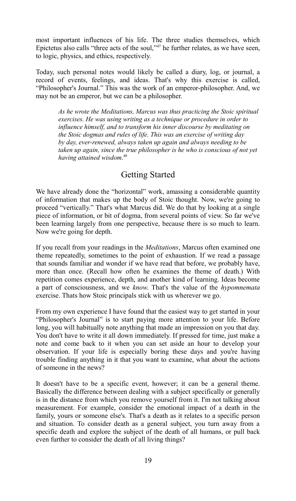most important influences of his life. The three studies themselves, which Epictetus also calls "three acts of the soul,"<sup>[47](#page-46-4)</sup> he further relates, as we have seen, to logic, physics, and ethics, respectively.

Today, such personal notes would likely be called a diary, log, or journal, a record of events, feelings, and ideas. That's why this exercise is called, "Philosopher's Journal." This was the work of an emperor-philosopher. And, we may not be an emperor, but we can be a philosopher.

*As he wrote the Meditations, Marcus was thus practicing the Stoic spiritual exercises. He was using writing as a technique or procedure in order to influence himself, and to transform his inner discourse by meditating on the Stoic dogmas and rules of life. This was an exercise of writing day by day, ever-renewed, always taken up again and always needing to be taken up again, since the true philosopher is he who is conscious of not yet having attained wisdom*. [48](#page-46-5)

## Getting Started

We have already done the "horizontal" work, amassing a considerable quantity of information that makes up the body of Stoic thought. Now, we're going to proceed "vertically." That's what Marcus did. We do that by looking at a single piece of information, or bit of dogma, from several points of view. So far we've been learning largely from one perspective, because there is so much to learn. Now we're going for depth.

If you recall from your readings in the *Meditations*, Marcus often examined one theme repeatedly, sometimes to the point of exhaustion. If we read a passage that sounds familiar and wonder if we have read that before, we probably have, more than once. (Recall how often he examines the theme of death.) With repetition comes experience, depth, and another kind of learning. Ideas become a part of consciousness, and we *know*. That's the value of the *hypomnemata* exercise. Thats how Stoic principals stick with us wherever we go.

From my own experience I have found that the easiest way to get started in your "Philosopher's Journal" is to start paying more attention to your life. Before long, you will habitually note anything that made an impression on you that day. You don't have to write it all down immediately. If pressed for time, just make a note and come back to it when you can set aside an hour to develop your observation. If your life is especially boring these days and you're having trouble finding anything in it that you want to examine, what about the actions of someone in the news?

It doesn't have to be a specific event, however; it can be a general theme. Basically the difference between dealing with a subject specifically or generally is in the distance from which you remove yourself from it. I'm not talking about measurement. For example, consider the emotional impact of a death in the family, yours or someone else's. That's a death as it relates to a specific person and situation. To consider death as a general subject, you turn away from a specific death and explore the subject of the death of all humans, or pull back even further to consider the death of all living things?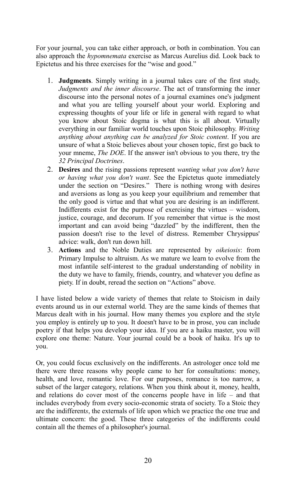For your journal, you can take either approach, or both in combination. You can also approach the *hypomnemata* exercise as Marcus Aurelius did. Look back to Epictetus and his three exercises for the "wise and good."

- 1. **Judgments**. Simply writing in a journal takes care of the first study, *Judgments and the inner discourse*. The act of transforming the inner discourse into the personal notes of a journal examines one's judgment and what you are telling yourself about your world. Exploring and expressing thoughts of your life or life in general with regard to what you know about Stoic dogma is what this is all about. Virtually everything in our familiar world touches upon Stoic philosophy. *Writing anything about anything can be analyzed for Stoic content*. If you are unsure of what a Stoic believes about your chosen topic, first go back to your mneme, *The DOE*. If the answer isn't obvious to you there, try the *32 Principal Doctrines*.
- 2. **Desires** and the rising passions represent *wanting what you don't have or having what you don't want*. See the Epictetus quote immediately under the section on "Desires." There is nothing wrong with desires and aversions as long as you keep your equilibrium and remember that the only good is virtue and that what you are desiring is an indifferent. Indifferents exist for the purpose of exercising the virtues – wisdom, justice, courage, and decorum. If you remember that virtue is the most important and can avoid being "dazzled" by the indifferent, then the passion doesn't rise to the level of distress. Remember Chrysippus' advice: walk, don't run down hill.
- 3. **Actions** and the Noble Duties are represented by *oikeiosis*: from Primary Impulse to altruism. As we mature we learn to evolve from the most infantile self-interest to the gradual understanding of nobility in the duty we have to family, friends, country, and whatever you define as piety. If in doubt, reread the section on "Actions" above.

I have listed below a wide variety of themes that relate to Stoicism in daily events around us in our external world. They are the same kinds of themes that Marcus dealt with in his journal. How many themes you explore and the style you employ is entirely up to you. It doesn't have to be in prose, you can include poetry if that helps you develop your idea. If you are a haiku master, you will explore one theme: Nature. Your journal could be a book of haiku. It's up to you.

Or, you could focus exclusively on the indifferents. An astrologer once told me there were three reasons why people came to her for consultations: money, health, and love, romantic love. For our purposes, romance is too narrow, a subset of the larger category, relations. When you think about it, money, health, and relations do cover most of the concerns people have in life – and that includes everybody from every socio-economic strata of society. To a Stoic they are the indifferent*s*, the externals of life upon which we practice the one true and ultimate concern: the good. These three categories of the indifferents could contain all the themes of a philosopher's journal.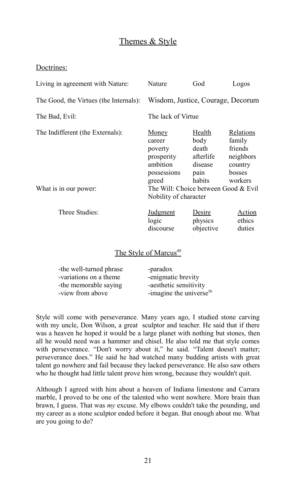## Themes & Style

### Doctrines:

| Living in agreement with Nature:                          | Nature                                                                                                                                        | God                                                               | Logos                                                                       |
|-----------------------------------------------------------|-----------------------------------------------------------------------------------------------------------------------------------------------|-------------------------------------------------------------------|-----------------------------------------------------------------------------|
| The Good, the Virtues (the Internals):                    | Wisdom, Justice, Courage, Decorum                                                                                                             |                                                                   |                                                                             |
| The Bad, Evil:                                            | The lack of Virtue                                                                                                                            |                                                                   |                                                                             |
| The Indifferent (the Externals):<br>What is in our power: | Money<br>career<br>poverty<br>prosperity<br>ambition<br>possessions<br>greed<br>The Will: Choice between Good & Evil<br>Nobility of character | Health<br>body<br>death<br>afterlife<br>disease<br>pain<br>habits | Relations<br>family<br>friends<br>neighbors<br>country<br>bosses<br>workers |
| Three Studies:                                            | <b>Judgment</b><br>logic<br>discourse                                                                                                         | Desire<br>physics<br>objective                                    | Action<br>ethics<br>duties                                                  |

### The Style of Marcus<sup>[49](#page-46-6)</sup>

| -the well-turned phrase | -paradox                            |
|-------------------------|-------------------------------------|
| -variations on a theme  | -enigmatic brevity                  |
| -the memorable saying   | -aesthetic sensitivity              |
| -view from above        | -imagine the universe <sup>50</sup> |

Style will come with perseverance. Many years ago, I studied stone carving with my uncle, Don Wilson, a great sculptor and teacher. He said that if there was a heaven he hoped it would be a large planet with nothing but stones, then all he would need was a hammer and chisel. He also told me that style comes with perseverance. "Don't worry about it," he said. "Talent doesn't matter; perseverance does." He said he had watched many budding artists with great talent go nowhere and fail because they lacked perseverance. He also saw others who he thought had little talent prove him wrong, because they wouldn't quit.

Although I agreed with him about a heaven of Indiana limestone and Carrara marble, I proved to be one of the talented who went nowhere. More brain than brawn, I guess. That was *my* excuse. My elbows couldn't take the pounding, and my career as a stone sculptor ended before it began. But enough about me. What are you going to do?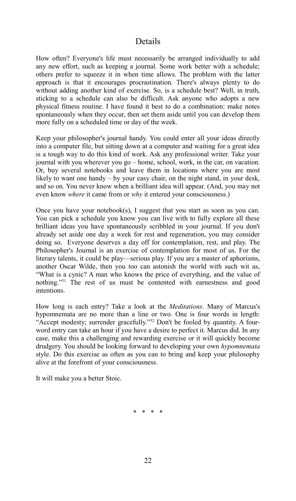## Details

How often? Everyone's life must necessarily be arranged individually to add any new effort, such as keeping a journal. Some work better with a schedule; others prefer to squeeze it in when time allows. The problem with the latter approach is that it encourages procrastination. There's always plenty to do without adding another kind of exercise. So, is a schedule best? Well, in truth, sticking to a schedule can also be difficult. Ask anyone who adopts a new physical fitness routine. I have found it best to do a combination: make notes spontaneously when they occur, then set them aside until you can develop them more fully on a scheduled time or day of the week.

Keep your philosopher's journal handy. You could enter all your ideas directly into a computer file, but sitting down at a computer and waiting for a great idea is a tough way to do this kind of work. Ask any professional writer. Take your journal with you wherever you go – home, school, work, in the car, on vacation. Or, buy several notebooks and leave them in locations where you are most likely to want one handy – by your easy chair, on the night stand, in your desk, and so on. You never know when a brilliant idea will appear. (And, you may not even know *where* it came from or *why* it entered your consciousness.)

Once you have your notebook(s), I suggest that you start as soon as you can. You can pick a schedule you know you can live with to fully explore all these brilliant ideas you have spontaneously scribbled in your journal. If you don't already set aside one day a week for rest and regeneration, you may consider doing so. Everyone deserves a day off for contemplation, rest, and play. The Philosopher's Journal is an exercise of contemplation for most of us. For the literary talents, it could be play—serious play. If you are a master of aphorisms, another Oscar Wilde, then you too can astonish the world with such wit as, "What is a cynic? A man who knows the price of everything, and the value of nothing."[51](#page-46-8) The rest of us must be contented with earnestness and good intentions.

How long is each entry? Take a look at the *Meditations*. Many of Marcus's hypomnemata are no more than a line or two. One is four words in length: "Accept modesty; surrender gracefully."<sup>[52](#page-46-9)</sup> Don't be fooled by quantity. A fourword entry can take an hour if you have a desire to perfect it. Marcus did. In any case, make this a challenging and rewarding exercise or it will quickly become drudgery. You should be looking forward to developing your own *hypomnemata* style. Do this exercise as often as you can to bring and keep your philosophy alive at the forefront of your consciousness.

It will make you a better Stoic.

\* \* \* \*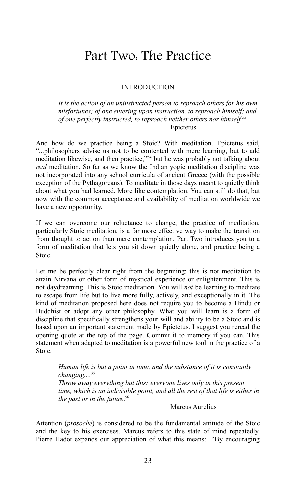## Part Two: The Practice

#### INTRODUCTION

*It is the action of an uninstructed person to reproach others for his own misfortunes; of one entering upon instruction, to reproach himself; and of one perfectly instructed, to reproach neither others nor himself.[53](#page-46-10)* Epictetus

And how do we practice being a Stoic? With meditation. Epictetus said, "...philosophers advise us not to be contented with mere learning, but to add meditation likewise, and then practice," [54](#page-46-11) but he was probably not talking about *real* meditation. So far as we know the Indian yogic meditation discipline was not incorporated into any school curricula of ancient Greece (with the possible exception of the Pythagoreans). To meditate in those days meant to quietly think about what you had learned. More like contemplation. You can still do that, but now with the common acceptance and availability of meditation worldwide we have a new opportunity.

If we can overcome our reluctance to change, the practice of meditation, particularly Stoic meditation, is a far more effective way to make the transition from thought to action than mere contemplation. Part Two introduces you to a form of meditation that lets you sit down quietly alone, and practice being a Stoic.

Let me be perfectly clear right from the beginning: this is not meditation to attain Nirvana or other form of mystical experience or enlightenment. This is not daydreaming. This is Stoic meditation. You will *not* be learning to meditate to escape from life but to live more fully, actively, and exceptionally in it. The kind of meditation proposed here does not require you to become a Hindu or Buddhist or adopt any other philosophy. What you will learn is a form of discipline that specifically strengthens your will and ability to be a Stoic and is based upon an important statement made by Epictetus. I suggest you reread the opening quote at the top of the page. Commit it to memory if you can. This statement when adapted to meditation is a powerful new tool in the practice of a Stoic.

> *Human life is but a point in time, and the substance of it is constantly changing....[55](#page-46-12) Throw away everything but this: everyone lives only in this present time, which is an indivisible point, and all the rest of that life is either in the past or in the future*. [56](#page-46-13)

Marcus Aurelius

Attention (*prosoche*) is considered to be the fundamental attitude of the Stoic and the key to his exercises. Marcus refers to this state of mind repeatedly. Pierre Hadot expands our appreciation of what this means: "By encouraging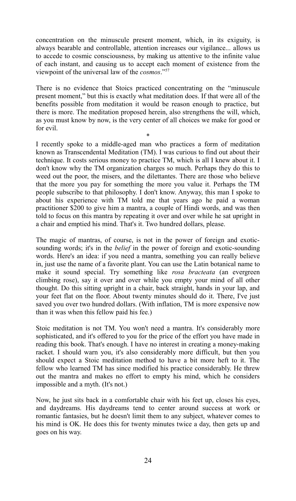concentration on the minuscule present moment, which, in its exiguity, is always bearable and controllable, attention increases our vigilance... allows us to accede to cosmic consciousness, by making us attentive to the infinite value of each instant, and causing us to accept each moment of existence from the viewpoint of the universal law of the *cosmos*."[57](#page-46-14)

There is no evidence that Stoics practiced concentrating on the "minuscule present moment," but this is exactly what meditation does. If that were all of the benefits possible from meditation it would be reason enough to practice, but there is more. The meditation proposed herein, also strengthens the will, which, as you must know by now, is the very center of all choices we make for good or for evil.

\*

I recently spoke to a middle-aged man who practices a form of meditation known as Transcendental Meditation (TM). I was curious to find out about their technique. It costs serious money to practice TM, which is all I knew about it. I don't know why the TM organization charges so much. Perhaps they do this to weed out the poor, the misers, and the dilettantes. There are those who believe that the more you pay for something the more you value it. Perhaps the TM people subscribe to that philosophy. I don't know. Anyway, this man I spoke to about his experience with TM told me that years ago he paid a woman practitioner \$200 to give him a mantra, a couple of Hindi words, and was then told to focus on this mantra by repeating it over and over while he sat upright in a chair and emptied his mind. That's it. Two hundred dollars, please.

The magic of mantras, of course, is not in the power of foreign and exoticsounding words; it's in the *belief* in the power of foreign and exotic-sounding words. Here's an idea: if you need a mantra, something you can really believe in, just use the name of a favorite plant. You can use the Latin botanical name to make it sound special. Try something like *rosa bracteata* (an evergreen climbing rose), say it over and over while you empty your mind of all other thought. Do this sitting upright in a chair, back straight, hands in your lap, and your feet flat on the floor. About twenty minutes should do it. There, I've just saved you over two hundred dollars. (With inflation, TM is more expensive now than it was when this fellow paid his fee.)

Stoic meditation is not TM. You won't need a mantra. It's considerably more sophisticated, and it's offered to you for the price of the effort you have made in reading this book. That's enough. I have no interest in creating a money-making racket. I should warn you, it's also considerably more difficult, but then you should expect a Stoic meditation method to have a bit more heft to it. The fellow who learned TM has since modified his practice considerably. He threw out the mantra and makes no effort to empty his mind, which he considers impossible and a myth. (It's not.)

Now, he just sits back in a comfortable chair with his feet up, closes his eyes, and daydreams. His daydreams tend to center around success at work or romantic fantasies, but he doesn't limit them to any subject, whatever comes to his mind is OK. He does this for twenty minutes twice a day, then gets up and goes on his way.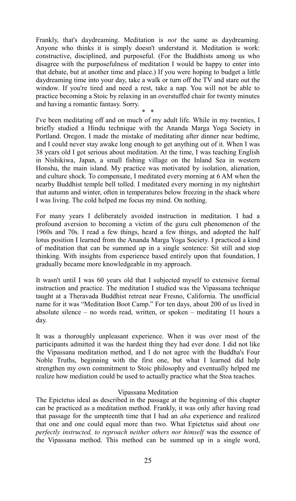Frankly, that's daydreaming. Meditation is *not* the same as daydreaming. Anyone who thinks it is simply doesn't understand it. Meditation is work: constructive, disciplined, and purposeful. (For the Buddhists among us who disagree with the purposefulness of meditation I would be happy to enter into that debate, but at another time and place.) If you were hoping to budget a little daydreaming time into your day, take a walk or turn off the TV and stare out the window. If you're tired and need a rest, take a nap. You will not be able to practice becoming a Stoic by relaxing in an overstuffed chair for twenty minutes and having a romantic fantasy. Sorry.

\* \*

I've been meditating off and on much of my adult life. While in my twenties, I briefly studied a Hindu technique with the Ananda Marga Yoga Society in Portland. Oregon. I made the mistake of meditating after dinner near bedtime, and I could never stay awake long enough to get anything out of it. When I was 38 years old I got serious about meditation. At the time, I was teaching English in Nishikiwa, Japan, a small fishing village on the Inland Sea in western Honshu, the main island. My practice was motivated by isolation, alienation, and culture shock. To compensate, I meditated every morning at 6 AM when the nearby Buddhist temple bell tolled. I meditated every morning in my nightshirt that autumn and winter, often in temperatures below freezing in the shack where I was living. The cold helped me focus my mind. On nothing.

For many years I deliberately avoided instruction in meditation. I had a profound aversion to becoming a victim of the guru cult phenomenon of the 1960s and 70s. I read a few things, heard a few things, and adopted the half lotus position I learned from the Ananda Marga Yoga Society. I practiced a kind of meditation that can be summed up in a single sentence: Sit still and stop thinking. With insights from experience based entirely upon that foundation, I gradually became more knowledgeable in my approach.

It wasn't until I was 60 years old that I subjected myself to extensive formal instruction and practice. The meditation I studied was the Vipassana technique taught at a Theravada Buddhist retreat near Fresno, California. The unofficial name for it was "Meditation Boot Camp." For ten days, about 200 of us lived in absolute silence – no words read, written, or spoken – meditating 11 hours a day.

It was a thoroughly unpleasant experience. When it was over most of the participants admitted it was the hardest thing they had ever done. I did not like the Vipassana meditation method, and I do not agree with the Buddha's Four Noble Truths, beginning with the first one, but what I learned did help strengthen my own commitment to Stoic philosophy and eventually helped me realize how mediation could be used to actually practice what the Stoa teaches.

#### Vipassana Meditation

The Epictetus ideal as described in the passage at the beginning of this chapter can be practiced as a meditation method. Frankly, it was only after having read that passage for the umpteenth time that I had an *aha* experience and realized that one and one could equal more than two. What Epictetus said about *one perfectly instructed, to reproach neither others nor himself* was the essence of the Vipassana method. This method can be summed up in a single word,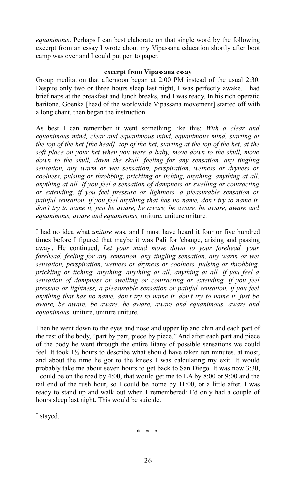*equanimous*. Perhaps I can best elaborate on that single word by the following excerpt from an essay I wrote about my Vipassana education shortly after boot camp was over and I could put pen to paper.

#### **excerpt from Vipassana essay**

Group meditation that afternoon began at 2:00 PM instead of the usual 2:30. Despite only two or three hours sleep last night, I was perfectly awake. I had brief naps at the breakfast and lunch breaks, and I was ready. In his rich operatic baritone, Goenka [head of the worldwide Vipassana movement] started off with a long chant, then began the instruction.

As best I can remember it went something like this: *With a clear and equanimous mind, clear and equanimous mind, equanimous mind, starting at the top of the het [the head], top of the het, starting at the top of the het, at the soft place on your het when you were a baby, move down to the skull, move down to the skull, down the skull, feeling for any sensation, any tingling sensation, any warm or wet sensation, perspiration, wetness or dryness or coolness, pulsing or throbbing, prickling or itching, anything, anything at all, anything at all. If you feel a sensation of dampness or swelling or contracting or extending, if you feel pressure or lightness, a pleasurable sensation or painful sensation, if you feel anything that has no name, don't try to name it, don't try to name it, just be aware, be aware, be aware, be aware, aware and equanimous, aware and equanimous,* uniture, uniture uniture*.*

I had no idea what *uniture* was, and I must have heard it four or five hundred times before I figured that maybe it was Pali for 'change, arising and passing away'. He continued, *Let your mind move down to your forehead, your forehead, feeling for any sensation, any tingling sensation, any warm or wet sensation, perspiration, wetness or dryness or coolness, pulsing or throbbing, prickling or itching, anything, anything at all, anything at all. If you feel a sensation of dampness or swelling or contracting or extending, if you feel pressure or lightness, a pleasurable sensation or painful sensation, if you feel anything that has no name, don't try to name it, don't try to name it, just be aware, be aware, be aware, be aware, aware and equanimous, aware and equanimous,* uniture, uniture uniture*.* 

Then he went down to the eyes and nose and upper lip and chin and each part of the rest of the body, "part by part, piece by piece." And after each part and piece of the body he went through the entire litany of possible sensations we could feel. It took  $1\frac{1}{2}$  hours to describe what should have taken ten minutes, at most, and about the time he got to the knees I was calculating my exit. It would probably take me about seven hours to get back to San Diego. It was now 3:30, I could be on the road by 4:00, that would get me to LA by 8:00 or 9:00 and the tail end of the rush hour, so I could be home by 11:00, or a little after. I was ready to stand up and walk out when I remembered: I'd only had a couple of hours sleep last night. This would be suicide.

I stayed.

\* \* \*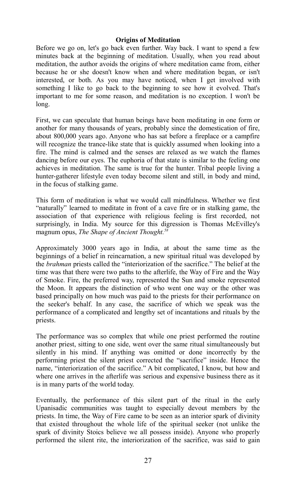#### **Origins of Meditation**

Before we go on, let's go back even further. Way back. I want to spend a few minutes back at the beginning of meditation. Usually, when you read about meditation, the author avoids the origins of where meditation came from, either because he or she doesn't know when and where meditation began, or isn't interested, or both. As you may have noticed, when I get involved with something I like to go back to the beginning to see how it evolved. That's important to me for some reason, and meditation is no exception. I won't be long.

First, we can speculate that human beings have been meditating in one form or another for many thousands of years, probably since the domestication of fire, about 800,000 years ago. Anyone who has sat before a fireplace or a campfire will recognize the trance-like state that is quickly assumed when looking into a fire. The mind is calmed and the senses are relaxed as we watch the flames dancing before our eyes. The euphoria of that state is similar to the feeling one achieves in meditation. The same is true for the hunter. Tribal people living a hunter-gatherer lifestyle even today become silent and still, in body and mind, in the focus of stalking game.

This form of meditation is what we would call mindfulness. Whether we first "naturally" learned to meditate in front of a cave fire or in stalking game, the association of that experience with religious feeling is first recorded, not surprisingly, in India. My source for this digression is Thomas McEvilley's magnum opus, *The Shape of Ancient Thought.[58](#page-46-15)*

Approximately 3000 years ago in India, at about the same time as the beginnings of a belief in reincarnation, a new spiritual ritual was developed by the *brahman* priests called the "interiorization of the sacrifice." The belief at the time was that there were two paths to the afterlife, the Way of Fire and the Way of Smoke. Fire, the preferred way, represented the Sun and smoke represented the Moon. It appears the distinction of who went one way or the other was based principally on how much was paid to the priests for their performance on the seeker's behalf. In any case, the sacrifice of which we speak was the performance of a complicated and lengthy set of incantations and rituals by the priests.

The performance was so complex that while one priest performed the routine another priest, sitting to one side, went over the same ritual simultaneously but silently in his mind. If anything was omitted or done incorrectly by the performing priest the silent priest corrected the "sacrifice" inside. Hence the name, "interiorization of the sacrifice." A bit complicated, I know, but how and where one arrives in the afterlife was serious and expensive business there as it is in many parts of the world today.

Eventually, the performance of this silent part of the ritual in the early Upanisadic communities was taught to especially devout members by the priests. In time, the Way of Fire came to be seen as an interior spark of divinity that existed throughout the whole life of the spiritual seeker (not unlike the spark of divinity Stoics believe we all possess inside). Anyone who properly performed the silent rite, the interiorization of the sacrifice, was said to gain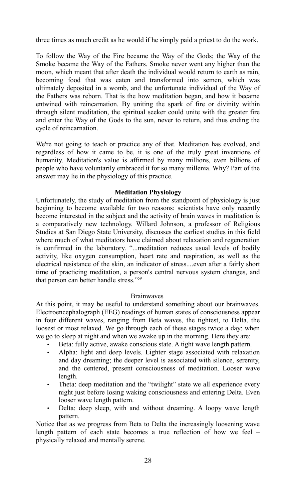three times as much credit as he would if he simply paid a priest to do the work.

To follow the Way of the Fire became the Way of the Gods; the Way of the Smoke became the Way of the Fathers. Smoke never went any higher than the moon, which meant that after death the individual would return to earth as rain, becoming food that was eaten and transformed into semen, which was ultimately deposited in a womb, and the unfortunate individual of the Way of the Fathers was reborn. That is the how meditation began, and how it became entwined with reincarnation. By uniting the spark of fire or divinity within through silent meditation, the spiritual seeker could unite with the greater fire and enter the Way of the Gods to the sun, never to return, and thus ending the cycle of reincarnation.

We're not going to teach or practice any of that. Meditation has evolved, and regardless of how it came to be, it is one of the truly great inventions of humanity. Meditation's value is affirmed by many millions, even billions of people who have voluntarily embraced it for so many millenia. Why? Part of the answer may lie in the physiology of this practice.

#### **Meditation Physiology**

Unfortunately, the study of meditation from the standpoint of physiology is just beginning to become available for two reasons: scientists have only recently become interested in the subject and the activity of brain waves in meditation is a comparatively new technology. Willard Johnson, a professor of Religious Studies at San Diego State University, discusses the earliest studies in this field where much of what meditators have claimed about relaxation and regeneration is confirmed in the laboratory. "...meditation reduces usual levels of bodily activity, like oxygen consumption, heart rate and respiration, as well as the electrical resistance of the skin, an indicator of stress....even after a fairly short time of practicing meditation, a person's central nervous system changes, and that person can better handle stress."[59](#page-46-16)

#### **Brainwaves**

At this point, it may be useful to understand something about our brainwaves. Electroencephalograph (EEG) readings of human states of consciousness appear in four different waves, ranging from Beta waves, the tightest, to Delta, the loosest or most relaxed. We go through each of these stages twice a day: when we go to sleep at night and when we awake up in the morning. Here they are:

- Beta: fully active, awake conscious state. A tight wave length pattern.
- Alpha: light and deep levels. Lighter stage associated with relaxation and day dreaming; the deeper level is associated with silence, serenity, and the centered, present consciousness of meditation. Looser wave length.
- Theta: deep meditation and the "twilight" state we all experience every night just before losing waking consciousness and entering Delta. Even looser wave length pattern.
- Delta: deep sleep, with and without dreaming. A loopy wave length pattern.

Notice that as we progress from Beta to Delta the increasingly loosening wave length pattern of each state becomes a true reflection of how we feel – physically relaxed and mentally serene.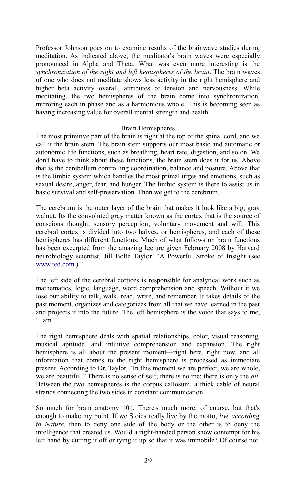Professor Johnson goes on to examine results of the brainwave studies during meditation. As indicated above, the meditator's brain waves were especially pronounced in Alpha and Theta. What was even more interesting is the *synchronization of the right and left hemispheres of the brain*. The brain waves of one who does not meditate shows less activity in the right hemisphere and higher beta activity overall, attributes of tension and nervousness. While meditating, the two hemispheres of the brain come into synchronization, mirroring each in phase and as a harmonious whole. This is becoming seen as having increasing value for overall mental strength and health.

#### Brain Hemispheres

The most primitive part of the brain is right at the top of the spinal cord, and we call it the brain stem. The brain stem supports our most basic and automatic or autonomic life functions, such as breathing, heart rate, digestion, and so on. We don't have to think about these functions, the brain stem does it for us. Above that is the cerebellum controlling coordination, balance and posture. Above that is the limbic system which handles the most primal urges and emotions, such as sexual desire, anger, fear, and hunger. The limbic system is there to assist us in basic survival and self-preservation. Then we get to the cerebrum.

The cerebrum is the outer layer of the brain that makes it look like a big, gray walnut. Its the convoluted gray matter known as the cortex that is the source of conscious thought, sensory perception, voluntary movement and will. This cerebral cortex is divided into two halves, or hemispheres, and each of these hemispheres has different functions. Much of what follows on brain functions has been excerpted from the amazing lecture given February 2008 by Harvard neurobiology scientist, Jill Bolte Taylor, "A Powerful Stroke of Insight (see [www.ted.com](http://www.ted.com/) )."

The left side of the cerebral cortices is responsible for analytical work such as mathematics, logic, language, word comprehension and speech. Without it we lose our ability to talk, walk, read, write, and remember. It takes details of the past moment, organizes and categorizes from all that we have learned in the past and projects it into the future. The left hemisphere is the voice that says to me, "I am."

The right hemisphere deals with spatial relationships, color, visual reasoning, musical aptitude, and intuitive comprehension and expansion. The right hemisphere is all about the present moment—right here, right now, and all information that comes to the right hemisphere is processed as immediate present. According to Dr. Taylor, "In this moment we are perfect, we are whole, we are beautiful." There is no sense of self; there is no me; there is only the *all*. Between the two hemispheres is the corpus callosum, a thick cable of neural strands connecting the two sides in constant communication.

So much for brain anatomy 101. There's much more, of course, but that's enough to make my point. If we Stoics really live by the motto, *live according to Nature*, then to deny one side of the body or the other is to deny the intelligence that created us. Would a right-handed person show contempt for his left hand by cutting it off or tying it up so that it was immobile? Of course not.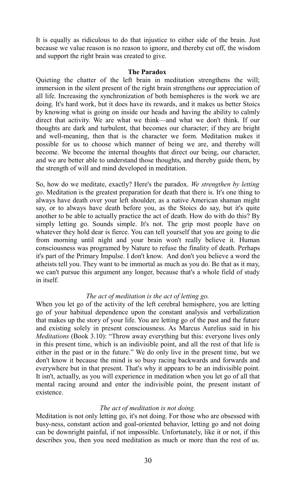It is equally as ridiculous to do that injustice to either side of the brain. Just because we value reason is no reason to ignore, and thereby cut off, the wisdom and support the right brain was created to give.

#### **The Paradox**

Quieting the chatter of the left brain in meditation strengthens the will; immersion in the silent present of the right brain strengthens our appreciation of all life. Increasing the synchronization of both hemispheres is the work we are doing. It's hard work, but it does have its rewards, and it makes us better Stoics by knowing what is going on inside our heads and having the ability to calmly direct that activity. We are what we think—and what we don't think. If our thoughts are dark and turbulent, that becomes our character; if they are bright and well-meaning, then that is the character we form. Meditation makes it possible for us to choose which manner of being we are, and thereby will become. We become the internal thoughts that direct our being, our character, and we are better able to understand those thoughts, and thereby guide them, by the strength of will and mind developed in meditation.

So, how do we meditate, exactly? Here's the paradox. *We strengthen by letting go*. Meditation is the greatest preparation for death that there is. It's one thing to always have death over your left shoulder, as a native American shaman might say, or to always have death before you, as the Stoics do say, but it's quite another to be able to actually practice the act of death. How do with do this? By simply letting go. Sounds simple. It's not. The grip most people have on whatever they hold dear is fierce. You can tell yourself that you are going to die from morning until night and your brain won't really believe it. Human consciousness was programed by Nature to refuse the finality of death. Perhaps it's part of the Primary Impulse. I don't know. And don't you believe a word the atheists tell you. They want to be immortal as much as you do. Be that as it may, we can't pursue this argument any longer, because that's a whole field of study in itself.

#### *The act of meditation is the act of letting go.*

When you let go of the activity of the left cerebral hemisphere, you are letting go of your habitual dependence upon the constant analysis and verbalization that makes up the story of your life. You are letting go of the past and the future and existing solely in present consciousness. As Marcus Aurelius said in his *Meditations* (Book 3.10): "Throw away everything but this: everyone lives only in this present time, which is an indivisible point, and all the rest of that life is either in the past or in the future." We do only live in the present time, but we don't know it because the mind is so busy racing backwards and forwards and everywhere but in that present. That's why it appears to be an indivisible point. It isn't, actually, as you will experience in meditation when you let go of all that mental racing around and enter the indivisible point, the present instant of existence.

#### *The act of meditation is not doing.*

Meditation is not only letting go, it's not doing. For those who are obsessed with busy-ness, constant action and goal-oriented behavior, letting go and not doing can be downright painful, if not impossible. Unfortunately, like it or not, if this describes you, then you need meditation as much or more than the rest of us.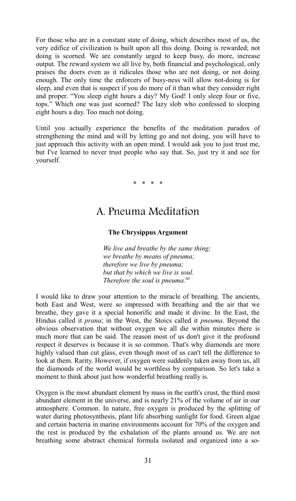For those who are in a constant state of doing, which describes most of us, the very edifice of civilization is built upon all this doing. Doing is rewarded; not doing is scorned. We are constantly urged to keep busy, do more, increase output. The reward system we all live by, both financial and psychological, only praises the doers even as it ridicules those who are not doing, or not doing enough. The only time the enforcers of busy-ness will allow not-doing is for sleep, and even that is suspect if you do more of it than what they consider right and proper. "You sleep eight hours a day? My God! I only sleep four or five, tops." Which one was just scorned? The lazy slob who confessed to sleeping eight hours a day. Too much not doing.

Until you actually experience the benefits of the meditation paradox of strengthening the mind and will by letting go and not doing, you will have to just approach this activity with an open mind. I would ask you to just trust me, but I've learned to never trust people who say that. So, just try it and see for yourself.

\* \* \* \*

## A. Pneuma Meditation

#### **The Chrysippus Argument**

*We live and breathe by the same thing; we breathe by means of pneuma; therefore we live by pneuma; but that by which we live is soul. Therefore the soul is pneuma.[60](#page-46-17)*

I would like to draw your attention to the miracle of breathing. The ancients, both East and West, were so impressed with breathing and the air that we breathe, they gave it a special honorific and made it divine. In the East, the Hindus called it *prana*; in the West, the Stoics called it *pneuma*. Beyond the obvious observation that without oxygen we all die within minutes there is much more that can be said. The reason most of us don't give it the profound respect it deserves is because it is so common. That's why diamonds are more highly valued than cut glass, even though most of us can't tell the difference to look at them. Rarity. However, if oxygen were suddenly taken away from us, all the diamonds of the world would be worthless by comparison. So let's take a moment to think about just how wonderful breathing really is.

Oxygen is the most abundant element by mass in the earth's crust, the third most abundant element in the universe, and is nearly 21% of the volume of air in our atmosphere. Common. In nature, free oxygen is produced by the splitting of water during photosynthesis, plant life absorbing sunlight for food. Green algae and certain bacteria in marine environments account for 70% of the oxygen and the rest is produced by the exhalation of the plants around us. We are not breathing some abstract chemical formula isolated and organized into a so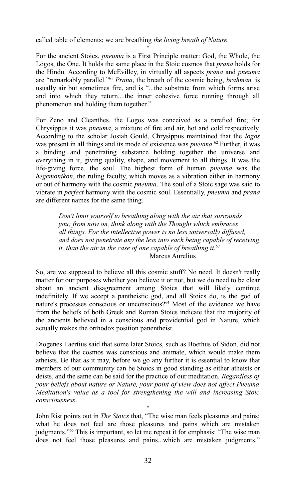called table of elements; we are breathing *the living breath of Nature*.

\* For the ancient Stoics, *pneuma* is a First Principle matter: God, the Whole, the Logos, the One. It holds the same place in the Stoic cosmos that *prana* holds for the Hindu. According to McEvilley, in virtually all aspects *prana* and *pneuma* are "remarkably parallel."[61](#page-46-18) *Prana*, the breath of the cosmic being, *brahman,* is usually air but sometimes fire, and is "...the substrate from which forms arise and into which they return....the inner cohesive force running through all phenomenon and holding them together."

For Zeno and Cleanthes, the Logos was conceived as a rarefied fire; for Chrysippus it was *pneuma*, a mixture of fire and air, hot and cold respectively. According to the scholar Josiah Gould, Chrysippus maintained that the *logos* was present in all things and its mode of existence was *pneuma*. [62](#page-46-19) Further, it was a binding and penetrating substance holding together the universe and everything in it, giving quality, shape, and movement to all things. It was the life-giving force, the soul. The highest form of human *pneuma* was the *hegemonikon*, the ruling faculty, which moves as a vibration either in harmony or out of harmony with the cosmic *pneuma*. The soul of a Stoic sage was said to vibrate in *perfect* harmony with the cosmic soul. Essentially, *pneuma* and *prana* are different names for the same thing.

*Don't limit yourself to breathing along with the air that surrounds you; from now on, think along with the Thought which embraces all things. For the intellective power is no less universally diffused, and does not penetrate any the less into each being capable of receiving it, than the air in the case of one capable of breathing it.[63](#page-46-20)* Marcus Aurelius

So, are we supposed to believe all this cosmic stuff? No need. It doesn't really matter for our purposes whether you believe it or not, but we do need to be clear about an ancient disagreement among Stoics that will likely continue indefinitely. If we accept a pantheistic god, and all Stoics do, is the god of nature's processes conscious or unconscious?<sup>[64](#page-46-21)</sup> Most of the evidence we have from the beliefs of both Greek and Roman Stoics indicate that the majority of the ancients believed in a conscious and providential god in Nature, which actually makes the orthodox position panentheist.

Diogenes Laertius said that some later Stoics, such as Boethus of Sidon, did not believe that the cosmos was conscious and animate, which would make them atheists. Be that as it may, before we go any further it is essential to know that members of our community can be Stoics in good standing as either atheists or deists, and the same can be said for the practice of our meditation. *Regardless of your beliefs about nature or Nature, your point of view does not affect Pneuma Meditation's value as a tool for strengthening the will and increasing Stoic consciousness*.

\*

John Rist points out in *The Stoics* that, "The wise man feels pleasures and pains; what he does not feel are those pleasures and pains which are mistaken judgments."[65](#page-46-22) This is important, so let me repeat it for emphasis: "The wise man does not feel those pleasures and pains...which are mistaken judgments."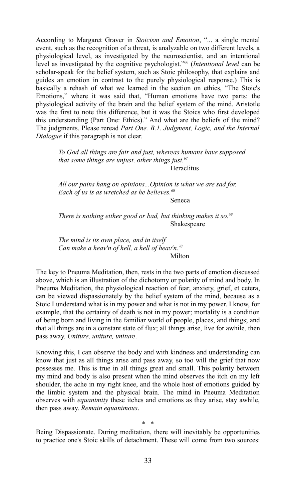According to Margaret Graver in *Stoicism and Emotion*, "... a single mental event, such as the recognition of a threat, is analyzable on two different levels, a physiological level, as investigated by the neuroscientist, and an intentional level as investigated by the cognitive psychologist."[66](#page-46-23) (*Intentional level* can be scholar-speak for the belief system, such as Stoic philosophy, that explains and guides an emotion in contrast to the purely physiological response.) This is basically a rehash of what we learned in the section on ethics, "The Stoic's Emotions," where it was said that, "Human emotions have two parts: the physiological activity of the brain and the belief system of the mind. Aristotle was the first to note this difference, but it was the Stoics who first developed this understanding (Part One: Ethics)." And what are the beliefs of the mind? The judgments. Please reread *Part One. B.1. Judgment, Logic, and the Internal Dialogue* if this paragraph is not clear.

> *To God all things are fair and just, whereas humans have supposed that some things are unjust, other things just.[67](#page-46-24)* **Heraclitus**

*All our pains hang on opinions...Opinion is what we are sad for. Each of us is as wretched as he believes.[68](#page-46-25)*

Seneca

*There is nothing either good or bad, but thinking makes it so.[69](#page-46-26)* Shakespeare

*The mind is its own place, and in itself Can make a heav'n of hell, a hell of heav'n.[70](#page-46-27)* Milton

The key to Pneuma Meditation, then, rests in the two parts of emotion discussed above, which is an illustration of the dichotomy or polarity of mind and body. In Pneuma Meditation, the physiological reaction of fear, anxiety, grief, et cetera, can be viewed dispassionately by the belief system of the mind, because as a Stoic I understand what is in my power and what is not in my power. I know, for example, that the certainty of death is not in my power; mortality is a condition of being born and living in the familiar world of people, places, and things; and that all things are in a constant state of flux; all things arise, live for awhile, then pass away. *Uniture, uniture, uniture*.

Knowing this, I can observe the body and with kindness and understanding can know that just as all things arise and pass away, so too will the grief that now possesses me. This is true in all things great and small. This polarity between my mind and body is also present when the mind observes the itch on my left shoulder, the ache in my right knee, and the whole host of emotions guided by the limbic system and the physical brain. The mind in Pneuma Meditation observes with *equanimity* these itches and emotions as they arise, stay awhile, then pass away. *Remain equanimous*.

\* \* Being Dispassionate. During meditation, there will inevitably be opportunities to practice one's Stoic skills of detachment. These will come from two sources: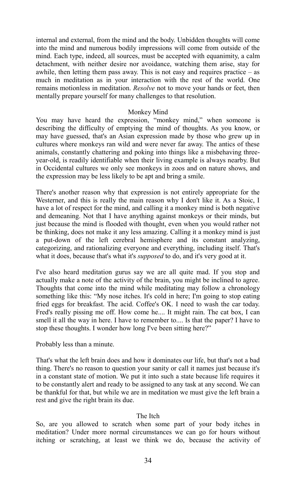internal and external, from the mind and the body. Unbidden thoughts will come into the mind and numerous bodily impressions will come from outside of the mind. Each type, indeed, all sources, must be accepted with equanimity, a calm detachment, with neither desire nor avoidance, watching them arise, stay for awhile, then letting them pass away. This is not easy and requires practice – as much in meditation as in your interaction with the rest of the world. One remains motionless in meditation. *Resolve* not to move your hands or feet, then mentally prepare yourself for many challenges to that resolution.

#### Monkey Mind

You may have heard the expression, "monkey mind," when someone is describing the difficulty of emptying the mind of thoughts. As you know, or may have guessed, that's an Asian expression made by those who grew up in cultures where monkeys ran wild and were never far away. The antics of these animals, constantly chattering and poking into things like a misbehaving threeyear-old, is readily identifiable when their living example is always nearby. But in Occidental cultures we only see monkeys in zoos and on nature shows, and the expression may be less likely to be apt and bring a smile.

There's another reason why that expression is not entirely appropriate for the Westerner, and this is really the main reason why I don't like it. As a Stoic, I have a lot of respect for the mind, and calling it a monkey mind is both negative and demeaning. Not that I have anything against monkeys or their minds, but just because the mind is flooded with thought, even when you would rather not be thinking, does not make it any less amazing. Calling it a monkey mind is just a put-down of the left cerebral hemisphere and its constant analyzing, categorizing, and rationalizing everyone and everything, including itself. That's what it does, because that's what it's *supposed* to do, and it's very good at it.

I've also heard meditation gurus say we are all quite mad. If you stop and actually make a note of the activity of the brain, you might be inclined to agree. Thoughts that come into the mind while meditating may follow a chronology something like this: "My nose itches. It's cold in here; I'm going to stop eating fried eggs for breakfast. The acid. Coffee's OK. I need to wash the car today. Fred's really pissing me off. How come he.... It might rain. The cat box, I can smell it all the way in here. I have to remember to.... Is that the paper? I have to stop these thoughts. I wonder how long I've been sitting here?"

Probably less than a minute.

That's what the left brain does and how it dominates our life, but that's not a bad thing. There's no reason to question your sanity or call it names just because it's in a constant state of motion. We put it into such a state because life requires it to be constantly alert and ready to be assigned to any task at any second. We can be thankful for that, but while we are in meditation we must give the left brain a rest and give the right brain its due.

#### The Itch

So, are you allowed to scratch when some part of your body itches in meditation? Under more normal circumstances we can go for hours without itching or scratching, at least we think we do, because the activity of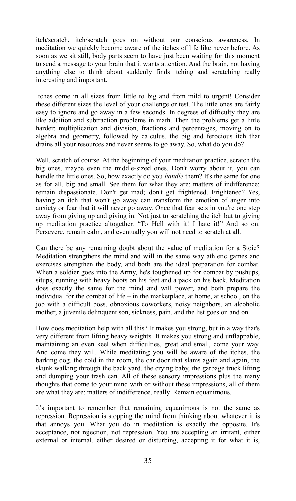itch/scratch, itch/scratch goes on without our conscious awareness. In meditation we quickly become aware of the itches of life like never before. As soon as we sit still, body parts seem to have just been waiting for this moment to send a message to your brain that it wants attention. And the brain, not having anything else to think about suddenly finds itching and scratching really interesting and important.

Itches come in all sizes from little to big and from mild to urgent! Consider these different sizes the level of your challenge or test. The little ones are fairly easy to ignore and go away in a few seconds. In degrees of difficulty they are like addition and subtraction problems in math. Then the problems get a little harder: multiplication and division, fractions and percentages, moving on to algebra and geometry, followed by calculus, the big and ferocious itch that drains all your resources and never seems to go away. So, what do you do?

Well, scratch of course. At the beginning of your meditation practice, scratch the big ones, maybe even the middle-sized ones. Don't worry about it, you can handle the little ones. So, how exactly do you *handle* them? It's the same for one as for all, big and small. See them for what they are: matters of indifference: remain dispassionate. Don't get mad; don't get frightened. Frightened? Yes, having an itch that won't go away can transform the emotion of anger into anxiety or fear that it will never go away. Once that fear sets in you're one step away from giving up and giving in. Not just to scratching the itch but to giving up meditation practice altogether. "To Hell with it! I hate it!" And so on. Persevere, remain calm, and eventually you will not need to scratch at all.

Can there be any remaining doubt about the value of meditation for a Stoic? Meditation strengthens the mind and will in the same way athletic games and exercises strengthen the body, and both are the ideal preparation for combat. When a soldier goes into the Army, he's toughened up for combat by pushups, situps, running with heavy boots on his feet and a pack on his back. Meditation does exactly the same for the mind and will power, and both prepare the individual for the combat of life – in the marketplace, at home, at school, on the job with a difficult boss, obnoxious coworkers, noisy neighbors, an alcoholic mother, a juvenile delinquent son, sickness, pain, and the list goes on and on.

How does meditation help with all this? It makes you strong, but in a way that's very different from lifting heavy weights. It makes you strong and unflappable, maintaining an even keel when difficulties, great and small, come your way. And come they will. While meditating you will be aware of the itches, the barking dog, the cold in the room, the car door that slams again and again, the skunk walking through the back yard, the crying baby, the garbage truck lifting and dumping your trash can. All of these sensory impressions plus the many thoughts that come to your mind with or without these impressions, all of them are what they are: matters of indifference, really. Remain equanimous.

It's important to remember that remaining equanimous is not the same as repression. Repression is stopping the mind from thinking about whatever it is that annoys you. What you do in meditation is exactly the opposite. It's acceptance, not rejection, not repression. You are accepting an irritant, either external or internal, either desired or disturbing, accepting it for what it is,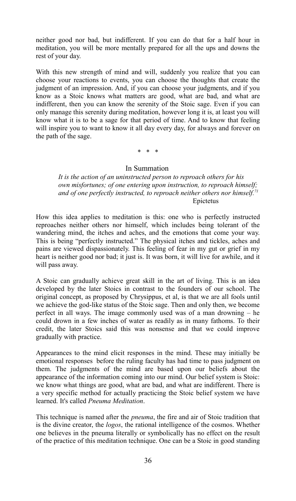neither good nor bad, but indifferent. If you can do that for a half hour in meditation, you will be more mentally prepared for all the ups and downs the rest of your day.

With this new strength of mind and will, suddenly you realize that you can choose your reactions to events, you can choose the thoughts that create the judgment of an impression. And, if you can choose your judgments, and if you know as a Stoic knows what matters are good, what are bad, and what are indifferent, then you can know the serenity of the Stoic sage. Even if you can only manage this serenity during meditation, however long it is, at least you will know what it is to be a sage for that period of time. And to know that feeling will inspire you to want to know it all day every day, for always and forever on the path of the sage.

#### \* \* \*

#### In Summation

*It is the action of an uninstructed person to reproach others for his own misfortunes; of one entering upon instruction, to reproach himself; and of one perfectly instructed, to reproach neither others nor himself.[71](#page-46-28)* Epictetus

How this idea applies to meditation is this: one who is perfectly instructed reproaches neither others nor himself, which includes being tolerant of the wandering mind, the itches and aches, and the emotions that come your way. This is being "perfectly instructed." The physical itches and tickles, aches and pains are viewed dispassionately. This feeling of fear in my gut or grief in my heart is neither good nor bad; it just is. It was born, it will live for awhile, and it will pass away.

A Stoic can gradually achieve great skill in the art of living. This is an idea developed by the later Stoics in contrast to the founders of our school. The original concept, as proposed by Chrysippus, et al, is that we are all fools until we achieve the god-like status of the Stoic sage. Then and only then, we become perfect in all ways. The image commonly used was of a man drowning – he could drown in a few inches of water as readily as in many fathoms. To their credit, the later Stoics said this was nonsense and that we could improve gradually with practice.

Appearances to the mind elicit responses in the mind. These may initially be emotional responses before the ruling faculty has had time to pass judgment on them. The judgments of the mind are based upon our beliefs about the appearance of the information coming into our mind. Our belief system is Stoic: we know what things are good, what are bad, and what are indifferent. There is a very specific method for actually practicing the Stoic belief system we have learned. It's called *Pneuma Meditation*.

This technique is named after the *pneuma*, the fire and air of Stoic tradition that is the divine creator, the *logos*, the rational intelligence of the cosmos. Whether one believes in the pneuma literally or symbolically has no effect on the result of the practice of this meditation technique. One can be a Stoic in good standing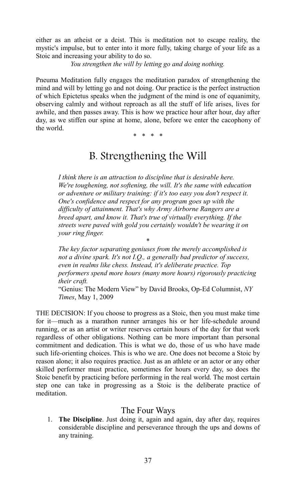either as an atheist or a deist. This is meditation not to escape reality, the mystic's impulse, but to enter into it more fully, taking charge of your life as a Stoic and increasing your ability to do so.

*You strengthen the will by letting go and doing nothing.*

Pneuma Meditation fully engages the meditation paradox of strengthening the mind and will by letting go and not doing. Our practice is the perfect instruction of which Epictetus speaks when the judgment of the mind is one of equanimity, observing calmly and without reproach as all the stuff of life arises, lives for awhile, and then passes away. This is how we practice hour after hour, day after day, as we stiffen our spine at home, alone, before we enter the cacophony of the world.

\* \* \* \*

## B. Strengthening the Will

*I think there is an attraction to discipline that is desirable here. We're toughening, not softening, the will. It's the same with education or adventure or military training: if it's too easy you don't respect it. One's confidence and respect for any program goes up with the difficulty of attainment. That's why Army Airborne Rangers are a breed apart, and know it. That's true of virtually everything. If the streets were paved with gold you certainly wouldn't be wearing it on your ring finger.*

*The key factor separating geniuses from the merely accomplished is not a divine spark. It's not I.Q., a generally bad predictor of success, even in realms like chess. Instead, it's deliberate practice. Top performers spend more hours (many more hours) rigorously practicing their craft.*

\*

"Genius: The Modern View" by David Brooks, Op-Ed Columnist, *NY Times*, May 1, 2009

THE DECISION: If you choose to progress as a Stoic, then you must make time for it—much as a marathon runner arranges his or her life-schedule around running, or as an artist or writer reserves certain hours of the day for that work regardless of other obligations. Nothing can be more important than personal commitment and dedication. This is what we do, those of us who have made such life-orienting choices. This is who we are. One does not become a Stoic by reason alone; it also requires practice. Just as an athlete or an actor or any other skilled performer must practice, sometimes for hours every day, so does the Stoic benefit by practicing before performing in the real world. The most certain step one can take in progressing as a Stoic is the deliberate practice of meditation.

### The Four Ways

1. **The Discipline**. Just doing it, again and again, day after day, requires considerable discipline and perseverance through the ups and downs of any training.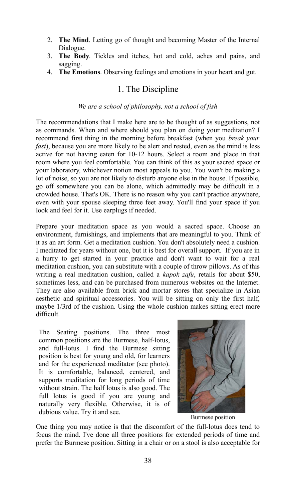- 2. **The Mind**. Letting go of thought and becoming Master of the Internal Dialogue.
- 3. **The Body**. Tickles and itches, hot and cold, aches and pains, and sagging.
- 4. **The Emotions**. Observing feelings and emotions in your heart and gut.

## 1. The Discipline

#### *We are a school of philosophy, not a school of fish*

The recommendations that I make here are to be thought of as suggestions, not as commands. When and where should you plan on doing your meditation? I recommend first thing in the morning before breakfast (when you *break your fast*), because you are more likely to be alert and rested, even as the mind is less active for not having eaten for 10-12 hours. Select a room and place in that room where you feel comfortable. You can think of this as your sacred space or your laboratory, whichever notion most appeals to you. You won't be making a lot of noise, so you are not likely to disturb anyone else in the house. If possible, go off somewhere you can be alone, which admittedly may be difficult in a crowded house. That's OK. There is no reason why you can't practice anywhere, even with your spouse sleeping three feet away. You'll find your space if you look and feel for it. Use earplugs if needed.

Prepare your meditation space as you would a sacred space. Choose an environment, furnishings, and implements that are meaningful to you. Think of it as an art form. Get a meditation cushion. You don't absolutely need a cushion. I meditated for years without one, but it is best for overall support. If you are in a hurry to get started in your practice and don't want to wait for a real meditation cushion, you can substitute with a couple of throw pillows. As of this writing a real meditation cushion, called a *kapok zafu*, retails for about \$50, sometimes less, and can be purchased from numerous websites on the Internet. They are also available from brick and mortar stores that specialize in Asian aesthetic and spiritual accessories. You will be sitting on only the first half, maybe 1/3rd of the cushion. Using the whole cushion makes sitting erect more difficult.

The Seating positions. The three most common positions are the Burmese, half-lotus, and full-lotus. I find the Burmese sitting position is best for young and old, for learners and for the experienced meditator (see photo). It is comfortable, balanced, centered, and supports meditation for long periods of time without strain. The half lotus is also good. The full lotus is good if you are young and naturally very flexible. Otherwise, it is of dubious value. Try it and see.



Burmese position

One thing you may notice is that the discomfort of the full-lotus does tend to focus the mind. I've done all three positions for extended periods of time and prefer the Burmese position. Sitting in a chair or on a stool is also acceptable for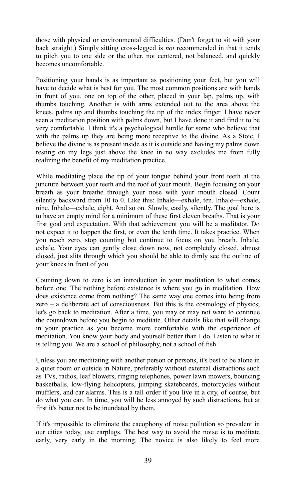those with physical or environmental difficulties. (Don't forget to sit with your back straight.) Simply sitting cross-legged is *not* recommended in that it tends to pitch you to one side or the other, not centered, not balanced, and quickly becomes uncomfortable.

Positioning your hands is as important as positioning your feet, but you will have to decide what is best for you. The most common positions are with hands in front of you, one on top of the other, placed in your lap, palms up, with thumbs touching. Another is with arms extended out to the area above the knees, palms up and thumbs touching the tip of the index finger. I have never seen a meditation position with palms down, but I have done it and find it to be very comfortable. I think it's a psychological hurdle for some who believe that with the palms up they are being more receptive to the divine. As a Stoic, I believe the divine is as present inside as it is outside and having my palms down resting on my legs just above the knee in no way excludes me from fully realizing the benefit of my meditation practice.

While meditating place the tip of your tongue behind your front teeth at the juncture between your teeth and the roof of your mouth. Begin focusing on your breath as your breathe through your nose with your mouth closed. Count silently backward from 10 to 0. Like this: Inhale—exhale, ten. Inhale—exhale, nine. Inhale—exhale, eight. And so on. Slowly, easily, silently. The goal here is to have an empty mind for a minimum of these first eleven breaths. That is your first goal and expectation. With that achievement you will be a meditator. Do not expect it to happen the first, or even the tenth time. It takes practice. When you reach zero, stop counting but continue to focus on you breath. Inhale, exhale. Your eyes can gently close down now, not completely closed, almost closed, just slits through which you should be able to dimly see the outline of your knees in front of you.

Counting down to zero is an introduction in your meditation to what comes before one. The nothing before existence is where you go in meditation. How does existence come from nothing? The same way one comes into being from zero – a deliberate act of consciousness. But this is the cosmology of physics; let's go back to meditation. After a time, you may or may not want to continue the countdown before you begin to meditate. Other details like that will change in your practice as you become more comfortable with the experience of meditation. You know your body and yourself better than I do. Listen to what it is telling you. We are a school of philosophy, not a school of fish.

Unless you are meditating with another person or persons, it's best to be alone in a quiet room or outside in Nature, preferably without external distractions such as TVs, radios, leaf blowers, ringing telephones, power lawn mowers, bouncing basketballs, low-flying helicopters, jumping skateboards, motorcycles without mufflers, and car alarms. This is a tall order if you live in a city, of course, but do what you can. In time, you will be less annoyed by such distractions, but at first it's better not to be inundated by them.

If it's impossible to eliminate the cacophony of noise pollution so prevalent in our cities today, use earplugs. The best way to avoid the noise is to meditate early, very early in the morning. The novice is also likely to feel more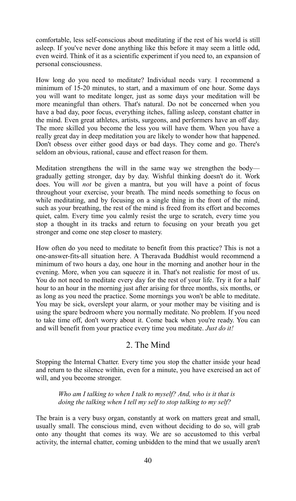comfortable, less self-conscious about meditating if the rest of his world is still asleep. If you've never done anything like this before it may seem a little odd, even weird. Think of it as a scientific experiment if you need to, an expansion of personal consciousness.

How long do you need to meditate? Individual needs vary. I recommend a minimum of 15-20 minutes, to start, and a maximum of one hour. Some days you will want to meditate longer, just as some days your meditation will be more meaningful than others. That's natural. Do not be concerned when you have a bad day, poor focus, everything itches, falling asleep, constant chatter in the mind. Even great athletes, artists, surgeons, and performers have an off day. The more skilled you become the less you will have them. When you have a really great day in deep meditation you are likely to wonder how that happened. Don't obsess over either good days or bad days. They come and go. There's seldom an obvious, rational, cause and effect reason for them.

Meditation strengthens the will in the same way we strengthen the body gradually getting stronger, day by day. Wishful thinking doesn't do it. Work does. You will *not* be given a mantra, but you will have a point of focus throughout your exercise, your breath. The mind needs something to focus on while meditating, and by focusing on a single thing in the front of the mind, such as your breathing, the rest of the mind is freed from its effort and becomes quiet, calm. Every time you calmly resist the urge to scratch, every time you stop a thought in its tracks and return to focusing on your breath you get stronger and come one step closer to mastery.

How often do you need to meditate to benefit from this practice? This is not a one-answer-fits-all situation here. A Theravada Buddhist would recommend a minimum of two hours a day, one hour in the morning and another hour in the evening. More, when you can squeeze it in. That's not realistic for most of us. You do not need to meditate every day for the rest of your life. Try it for a half hour to an hour in the morning just after arising for three months, six months, or as long as you need the practice. Some mornings you won't be able to meditate. You may be sick, overslept your alarm, or your mother may be visiting and is using the spare bedroom where you normally meditate. No problem. If you need to take time off, don't worry about it. Come back when you're ready. You can and will benefit from your practice every time you meditate. *Just do it!*

### 2. The Mind

Stopping the Internal Chatter. Every time you stop the chatter inside your head and return to the silence within, even for a minute, you have exercised an act of will, and you become stronger.

*Who am I talking to when I talk to myself? And, who is it that is doing the talking when I tell my self to stop talking to my self?*

The brain is a very busy organ, constantly at work on matters great and small, usually small. The conscious mind, even without deciding to do so, will grab onto any thought that comes its way. We are so accustomed to this verbal activity, the internal chatter, coming unbidden to the mind that we usually aren't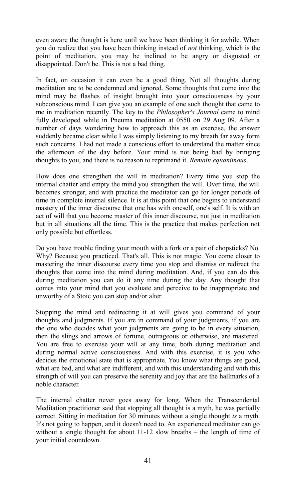even aware the thought is here until we have been thinking it for awhile. When you do realize that you have been thinking instead of *not* thinking, which is the point of meditation, you may be inclined to be angry or disgusted or disappointed. Don't be. This is not a bad thing.

In fact, on occasion it can even be a good thing. Not all thoughts during meditation are to be condemned and ignored. Some thoughts that come into the mind may be flashes of insight brought into your consciousness by your subconscious mind. I can give you an example of one such thought that came to me in meditation recently. The key to the *Philosopher's Journal* came to mind fully developed while in Pneuma meditation at 0550 on 29 Aug 09. After a number of days wondering how to approach this as an exercise, the answer suddenly became clear while I was simply listening to my breath far away form such concerns. I had not made a conscious effort to understand the matter since the afternoon of the day before. Your mind is not being bad by bringing thoughts to you, and there is no reason to reprimand it. *Remain equanimous*.

How does one strengthen the will in meditation? Every time you stop the internal chatter and empty the mind you strengthen the will. Over time, the will becomes stronger, and with practice the meditator can go for longer periods of time in complete internal silence. It is at this point that one begins to understand mastery of the inner discourse that one has with oneself, one's self. It is with an act of will that you become master of this inner discourse, not just in meditation but in all situations all the time. This is the practice that makes perfection not only possible but effortless.

Do you have trouble finding your mouth with a fork or a pair of chopsticks? No. Why? Because you practiced. That's all. This is not magic. You come closer to mastering the inner discourse every time you stop and dismiss or redirect the thoughts that come into the mind during meditation. And, if you can do this during meditation you can do it any time during the day. Any thought that comes into your mind that you evaluate and perceive to be inappropriate and unworthy of a Stoic you can stop and/or alter.

Stopping the mind and redirecting it at will gives you command of your thoughts and judgments. If you are in command of your judgments, if you are the one who decides what your judgments are going to be in every situation, then the slings and arrows of fortune, outrageous or otherwise, are mastered. You are free to exercise your will at any time, both during meditation and during normal active consciousness. And with this exercise, it is you who decides the emotional state that is appropriate. You know what things are good, what are bad, and what are indifferent, and with this understanding and with this strength of will you can preserve the serenity and joy that are the hallmarks of a noble character.

The internal chatter never goes away for long. When the Transcendental Meditation practitioner said that stopping all thought is a myth, he was partially correct. Sitting in meditation for 30 minutes without a single thought *is* a myth. It's not going to happen, and it doesn't need to. An experienced meditator can go without a single thought for about 11-12 slow breaths – the length of time of your initial countdown.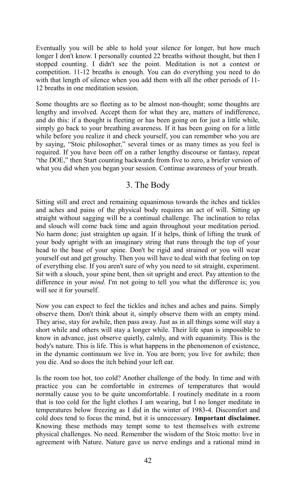Eventually you will be able to hold your silence for longer, but how much longer I don't know. I personally counted 22 breaths without thought, but then I stopped counting. I didn't see the point. Meditation is not a contest or competition. 11-12 breaths is enough. You can do everything you need to do with that length of silence when you add them with all the other periods of 11-12 breaths in one meditation session.

Some thoughts are so fleeting as to be almost non-thought; some thoughts are lengthy and involved. Accept them for what they are, matters of indifference, and do this: if a thought is fleeting or has been going on for just a little while, simply go back to your breathing awareness. If it has been going on for a little while before you realize it and check yourself, you can remember who you are by saying, "Stoic philosopher," several times or as many times as you feel is required. If you have been off on a rather lengthy discourse or fantasy, repeat "the DOE," then Start counting backwards from five to zero, a briefer version of what you did when you began your session. Continue awareness of your breath.

## 3. The Body

Sitting still and erect and remaining equanimous towards the itches and tickles and aches and pains of the physical body requires an act of will. Sitting up straight without sagging will be a continual challenge. The inclination to relax and slouch will come back time and again throughout your meditation period. No harm done; just straighten up again. If it helps, think of lifting the trunk of your body upright with an imaginary string that runs through the top of your head to the base of your spine. Don't be rigid and strained or you will wear yourself out and get grouchy. Then you will have to deal with that feeling on top of everything else. If you aren't sure of why you need to sit straight, experiment. Sit with a slouch, your spine bent, then sit upright and erect. Pay attention to the difference in your *mind*. I'm not going to tell you what the difference is; you will see it for yourself.

Now you can expect to feel the tickles and itches and aches and pains. Simply observe them. Don't think about it, simply observe them with an empty mind. They arise, stay for awhile, then pass away. Just as in all things some will stay a short while and others will stay a longer while. Their life span is impossible to know in advance, just observe quietly, calmly, and with equanimity. This is the body's nature. This is life. This is what happens in the phenomenon of existence, in the dynamic continuum we live in. You are born; you live for awhile; then you die. And so does the itch behind your left ear.

Is the room too hot, too cold? Another challenge of the body. In time and with practice you can be comfortable in extremes of temperatures that would normally cause you to be quite uncomfortable. I routinely meditate in a room that is too cold for the light clothes I am wearing, but I no longer meditate in temperatures below freezing as I did in the winter of 1983-4. Discomfort and cold does tend to focus the mind, but it is unnecessary. **Important disclaimer.** Knowing these methods may tempt some to test themselves with extreme physical challenges. No need. Remember the wisdom of the Stoic motto: live in agreement with Nature. Nature gave us nerve endings and a rational mind in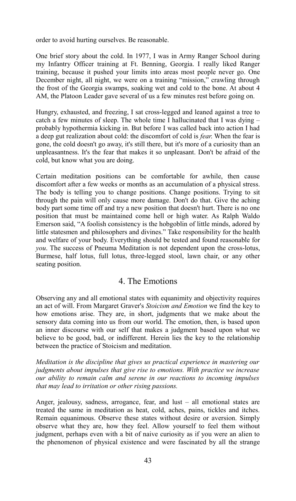order to avoid hurting ourselves. Be reasonable.

One brief story about the cold. In 1977, I was in Army Ranger School during my Infantry Officer training at Ft. Benning, Georgia. I really liked Ranger training, because it pushed your limits into areas most people never go. One December night, all night, we were on a training "mission," crawling through the frost of the Georgia swamps, soaking wet and cold to the bone. At about 4 AM, the Platoon Leader gave several of us a few minutes rest before going on.

Hungry, exhausted, and freezing, I sat cross-legged and leaned against a tree to catch a few minutes of sleep. The whole time I hallucinated that I was dying – probably hypothermia kicking in. But before I was called back into action I had a deep gut realization about cold: the discomfort of cold is *fear*. When the fear is gone, the cold doesn't go away, it's still there, but it's more of a curiosity than an unpleasantness. It's the fear that makes it so unpleasant. Don't be afraid of the cold, but know what you are doing.

Certain meditation positions can be comfortable for awhile, then cause discomfort after a few weeks or months as an accumulation of a physical stress. The body is telling you to change positions. Change positions. Trying to sit through the pain will only cause more damage. Don't do that. Give the aching body part some time off and try a new position that doesn't hurt. There is no one position that must be maintained come hell or high water. As Ralph Waldo Emerson said, "A foolish consistency is the hobgoblin of little minds, adored by little statesmen and philosophers and divines." Take responsibility for the health and welfare of your body. Everything should be tested and found reasonable for *you*. The success of Pneuma Meditation is not dependent upon the cross-lotus, Burmese, half lotus, full lotus, three-legged stool, lawn chair, or any other seating position.

## 4. The Emotions

Observing any and all emotional states with equanimity and objectivity requires an act of will. From Margaret Graver's *Stoicism and Emotion* we find the key to how emotions arise. They are, in short, judgments that we make about the sensory data coming into us from our world. The emotion, then, is based upon an inner discourse with our self that makes a judgment based upon what we believe to be good, bad, or indifferent. Herein lies the key to the relationship between the practice of Stoicism and meditation.

*Meditation is the discipline that gives us practical experience in mastering our judgments about impulses that give rise to emotions. With practice we increase our ability to remain calm and serene in our reactions to incoming impulses that may lead to irritation or other rising passions.* 

Anger, jealousy, sadness, arrogance, fear, and lust – all emotional states are treated the same in meditation as heat, cold, aches, pains, tickles and itches. Remain equanimous. Observe these states without desire or aversion. Simply observe what they are, how they feel. Allow yourself to feel them without judgment, perhaps even with a bit of naive curiosity as if you were an alien to the phenomenon of physical existence and were fascinated by all the strange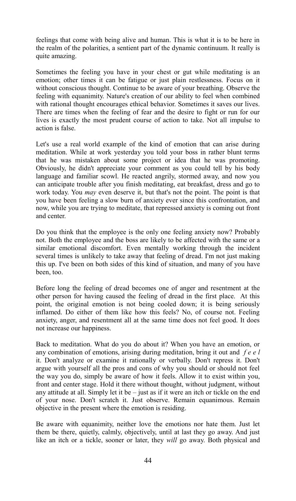feelings that come with being alive and human. This is what it is to be here in the realm of the polarities, a sentient part of the dynamic continuum. It really is quite amazing.

Sometimes the feeling you have in your chest or gut while meditating is an emotion; other times it can be fatigue or just plain restlessness. Focus on it without conscious thought. Continue to be aware of your breathing. Observe the feeling with equanimity. Nature's creation of our ability to feel when combined with rational thought encourages ethical behavior. Sometimes it saves our lives. There are times when the feeling of fear and the desire to fight or run for our lives is exactly the most prudent course of action to take. Not all impulse to action is false.

Let's use a real world example of the kind of emotion that can arise during meditation. While at work yesterday you told your boss in rather blunt terms that he was mistaken about some project or idea that he was promoting. Obviously, he didn't appreciate your comment as you could tell by his body language and familiar scowl. He reacted angrily, stormed away, and now you can anticipate trouble after you finish meditating, eat breakfast, dress and go to work today. You *may* even deserve it, but that's not the point. The point is that you have been feeling a slow burn of anxiety ever since this confrontation, and now, while you are trying to meditate, that repressed anxiety is coming out front and center.

Do you think that the employee is the only one feeling anxiety now? Probably not. Both the employee and the boss are likely to be affected with the same or a similar emotional discomfort. Even mentally working through the incident several times is unlikely to take away that feeling of dread. I'm not just making this up. I've been on both sides of this kind of situation, and many of you have been, too.

Before long the feeling of dread becomes one of anger and resentment at the other person for having caused the feeling of dread in the first place. At this point, the original emotion is not being cooled down; it is being seriously inflamed. Do either of them like how this feels? No, of course not. Feeling anxiety, anger, and resentment all at the same time does not feel good. It does not increase our happiness.

Back to meditation. What do you do about it? When you have an emotion, or any combination of emotions, arising during meditation, bring it out and *f e e l* it. Don't analyze or examine it rationally or verbally. Don't repress it. Don't argue with yourself all the pros and cons of why you should or should not feel the way you do, simply be aware of how it feels. Allow it to exist within you, front and center stage. Hold it there without thought, without judgment, without any attitude at all. Simply let it be – just as if it were an itch or tickle on the end of your nose. Don't scratch it. Just observe. Remain equanimous. Remain objective in the present where the emotion is residing.

Be aware with equanimity, neither love the emotions nor hate them. Just let them be there, quietly, calmly, objectively, until at last they go away. And just like an itch or a tickle, sooner or later, they *will* go away. Both physical and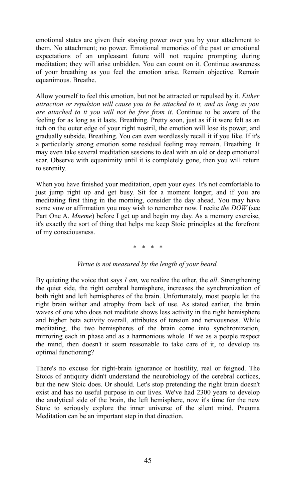emotional states are given their staying power over you by your attachment to them. No attachment; no power. Emotional memories of the past or emotional expectations of an unpleasant future will not require prompting during meditation; they will arise unbidden. You can count on it. Continue awareness of your breathing as you feel the emotion arise. Remain objective. Remain equanimous. Breathe.

Allow yourself to feel this emotion, but not be attracted or repulsed by it. *Either attraction or repulsion will cause you to be attached to it, and as long as you are attached to it you will not be free from it*. Continue to be aware of the feeling for as long as it lasts. Breathing. Pretty soon, just as if it were felt as an itch on the outer edge of your right nostril, the emotion will lose its power, and gradually subside. Breathing. You can even wordlessly recall it if you like. If it's a particularly strong emotion some residual feeling may remain. Breathing. It may even take several meditation sessions to deal with an old or deep emotional scar. Observe with equanimity until it is completely gone, then you will return to serenity.

When you have finished your meditation, open your eyes. It's not comfortable to just jump right up and get busy. Sit for a moment longer, and if you are meditating first thing in the morning, consider the day ahead. You may have some vow or affirmation you may wish to remember now. I recite *the DOW* (see Part One A. *Mneme*) before I get up and begin my day. As a memory exercise, it's exactly the sort of thing that helps me keep Stoic principles at the forefront of my consciousness.

#### \* \* \* \*

#### *Virtue is not measured by the length of your beard.*

By quieting the voice that says *I am,* we realize the other, the *all*. Strengthening the quiet side, the right cerebral hemisphere, increases the synchronization of both right and left hemispheres of the brain. Unfortunately, most people let the right brain wither and atrophy from lack of use. As stated earlier, the brain waves of one who does not meditate shows less activity in the right hemisphere and higher beta activity overall, attributes of tension and nervousness. While meditating, the two hemispheres of the brain come into synchronization, mirroring each in phase and as a harmonious whole. If we as a people respect the mind, then doesn't it seem reasonable to take care of it, to develop its optimal functioning?

There's no excuse for right-brain ignorance or hostility, real or feigned. The Stoics of antiquity didn't understand the neurobiology of the cerebral cortices, but the new Stoic does. Or should. Let's stop pretending the right brain doesn't exist and has no useful purpose in our lives. We've had 2300 years to develop the analytical side of the brain, the left hemisphere, now it's time for the new Stoic to seriously explore the inner universe of the silent mind. Pneuma Meditation can be an important step in that direction.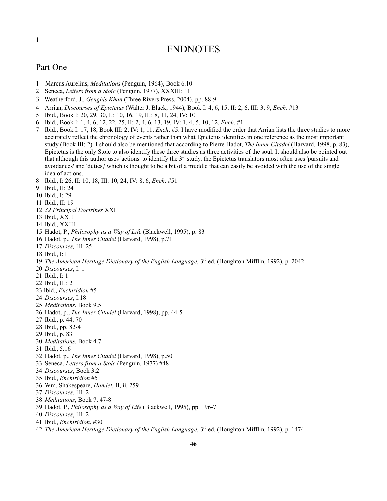## ENDNOTES

### Part One

- 1 Marcus Aurelius, *Meditations* (Penguin, 1964), Book 6.10
- <span id="page-45-1"></span>Seneca, *Letters from a Stoic* (Penguin, 1977), XXXIII: 11
- <span id="page-45-2"></span>Weatherford, J., *Genghis Khan* (Three Rivers Press, 2004), pp. 88-9
- <span id="page-45-3"></span>Arrian, *Discourses of Epictetus* (Walter J. Black, 1944), Book I: 4, 6, 15, II: 2, 6, III: 3, 9, *Ench*. #13
- <span id="page-45-4"></span>Ibid., Book I: 20, 29, 30, II: 10, 16, 19, III: 8, 11, 24, IV: 10
- <span id="page-45-5"></span>Ibid., Book I: 1, 4, 6, 12, 22, 25, II: 2, 4, 6, 13, 19, IV: 1, 4, 5, 10, 12, *Ench*. #1
- <span id="page-45-6"></span> Ibid., Book I: 17, 18, Book III: 2, IV: 1, 11, *Ench*. #5. I have modified the order that Arrian lists the three studies to more accurately reflect the chronology of events rather than what Epictetus identifies in one reference as the most important study (Book III: 2). I should also be mentioned that according to Pierre Hadot, *The Inner Citadel* (Harvard, 1998, p. 83), Epictetus is the only Stoic to also identify these three studies as three activities of the soul. It should also be pointed out that although this author uses 'actions' to identify the  $3<sup>rd</sup>$  study, the Epictetus translators most often uses 'pursuits and avoidances' and 'duties,' which is thought to be a bit of a muddle that can easily be avoided with the use of the single idea of actions.
- <span id="page-45-7"></span>Ibid., I: 26, II: 10, 18, III: 10, 24, IV: 8, 6, *Ench*. #51
- <span id="page-45-8"></span>Ibid., II: 24
- <span id="page-45-9"></span>Ibid., I: 29
- <span id="page-45-10"></span>Ibid., II: 19
- <span id="page-45-11"></span>*32 Principal Doctrines* XXI
- <span id="page-45-12"></span>Ibid., XXII
- <span id="page-45-13"></span>Ibid., XXIII
- <span id="page-45-14"></span>Hadot, P., *Philosophy as a Way of Life* (Blackwell, 1995), p. 83
- <span id="page-45-15"></span>Hadot, p., *The Inner Citadel* (Harvard, 1998), p.71
- <span id="page-45-16"></span>*Discourses,* III: 25
- <span id="page-45-17"></span>Ibid., I:1
- <span id="page-45-18"></span>*The American Heritage Dictionary of the English Language*, 3rd ed. (Houghton Mifflin, 1992), p. 2042
- <span id="page-45-19"></span>*Discourses*, I: 1
- <span id="page-45-20"></span>Ibid., I: 1
- <span id="page-45-21"></span>Ibid., III: 2
- <span id="page-45-22"></span>23 Ibid., *Enchiridion* #5
- <span id="page-45-23"></span>*Discourses*, I:18
- <span id="page-45-24"></span>*Meditations*, Book 9.5
- <span id="page-45-25"></span>Hadot, p., *The Inner Citadel* (Harvard, 1998), pp. 44-5
- <span id="page-45-26"></span>Ibid., p. 44, 70
- <span id="page-45-27"></span>Ibid., pp. 82-4
- <span id="page-45-28"></span>Ibid., p. 83
- <span id="page-45-29"></span>*Meditations*, Book 4.7
- <span id="page-45-30"></span>Ibid., 5.16
- <span id="page-45-31"></span>Hadot, p., *The Inner Citadel* (Harvard, 1998), p.50
- <span id="page-45-32"></span>Seneca, *Letters from a Stoic* (Penguin, 1977) #48
- <span id="page-45-33"></span>*Discourses*, Book 3:2
- <span id="page-45-34"></span>Ibid., *Enchiridion* #5
- <span id="page-45-35"></span>Wm. Shakespeare, *Hamlet*, II, ii, 259
- <span id="page-45-36"></span>*Discourses*, III: 2
- <span id="page-45-37"></span>*Meditations*, Book 7, 47-8
- <span id="page-45-38"></span>Hadot, P., *Philosophy as a Way of Life* (Blackwell, 1995), pp. 196-7
- <span id="page-45-39"></span>*Discourses*, III: 2
- <span id="page-45-40"></span>Ibid., *Enchiridion*, #30
- <span id="page-45-41"></span>*The American Heritage Dictionary of the English Language*, 3rd ed. (Houghton Mifflin, 1992), p. 1474

<span id="page-45-0"></span>